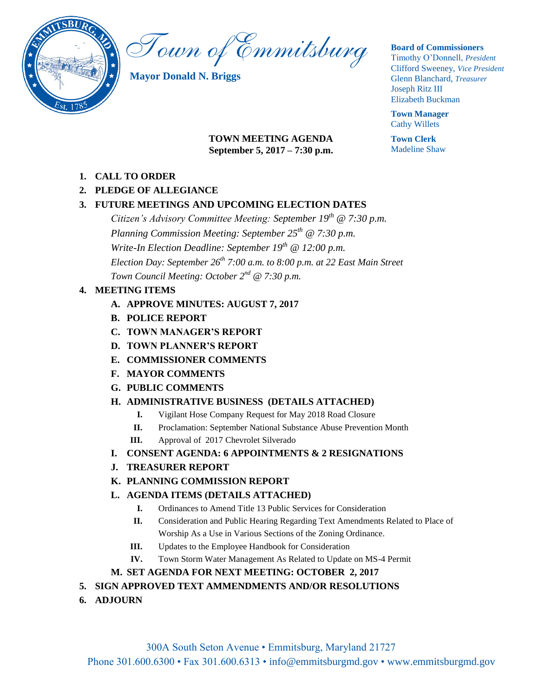

Town of Emmitsburg

**Mayor Donald N. Briggs**

## **Board of Commissioners**

Timothy O'Donnell, *President*  Clifford Sweeney, *Vice President*  Glenn Blanchard, *Treasurer*  Joseph Ritz III Elizabeth Buckman

**Town Manager** Cathy Willets

**Town Clerk** Madeline Shaw

# **TOWN MEETING AGENDA September 5, 2017 – 7:30 p.m.**

- **1. CALL TO ORDER**
- **2. PLEDGE OF ALLEGIANCE**

# **3. FUTURE MEETINGS AND UPCOMING ELECTION DATES**

*Citizen's Advisory Committee Meeting: September 19th @ 7:30 p.m. Planning Commission Meeting: September 25th @ 7:30 p.m. Write-In Election Deadline: September 19th @ 12:00 p.m. Election Day: September 26th 7:00 a.m. to 8:00 p.m. at 22 East Main Street Town Council Meeting: October 2nd @ 7:30 p.m.*

# **4. MEETING ITEMS**

- **A. APPROVE MINUTES: AUGUST 7, 2017**
- **B. POLICE REPORT**
- **C. TOWN MANAGER'S REPORT**
- **D. TOWN PLANNER'S REPORT**
- **E. COMMISSIONER COMMENTS**
- **F. MAYOR COMMENTS**
- **G. PUBLIC COMMENTS**

# **H. ADMINISTRATIVE BUSINESS (DETAILS ATTACHED)**

- **I.** Vigilant Hose Company Request for May 2018 Road Closure
- **II.** Proclamation: September National Substance Abuse Prevention Month
- **III.** Approval of 2017 Chevrolet Silverado
- **I. CONSENT AGENDA: 6 APPOINTMENTS & 2 RESIGNATIONS**
- **J. TREASURER REPORT**
- **K. PLANNING COMMISSION REPORT**

# **L. AGENDA ITEMS (DETAILS ATTACHED)**

- **I.** Ordinances to Amend Title 13 Public Services for Consideration
- **II.** Consideration and Public Hearing Regarding Text Amendments Related to Place of Worship As a Use in Various Sections of the Zoning Ordinance.
- **III.** Updates to the Employee Handbook for Consideration
- **IV.** Town Storm Water Management As Related to Update on MS-4 Permit

# **M. SET AGENDA FOR NEXT MEETING: OCTOBER 2, 2017**

# **5. SIGN APPROVED TEXT AMMENDMENTS AND/OR RESOLUTIONS**

**6. ADJOURN**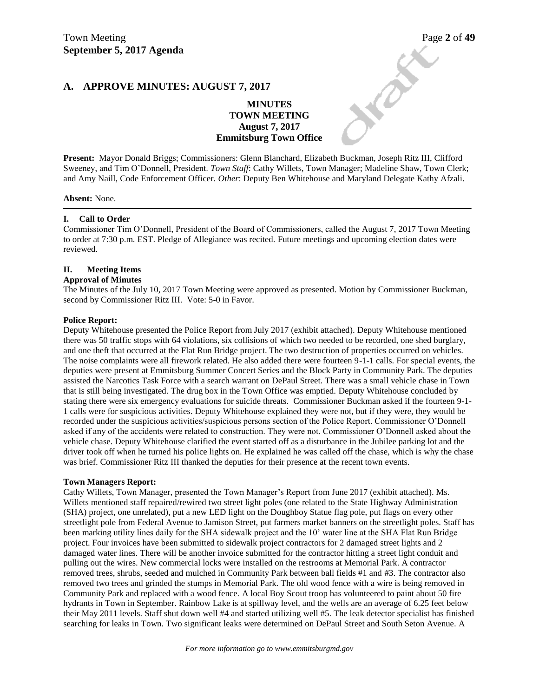## **A. APPROVE MINUTES: AUGUST 7, 2017**

# Town Meeting<br>
September 5, 2017 Agenda<br>
A. APPROVE MINUTES: AUGUST 7, 2017<br>
MINUTES<br>
MINUTES **MINUTES TOWN MEETING August 7, 2017 Emmitsburg Town Office**

**Present:** Mayor Donald Briggs; Commissioners: Glenn Blanchard, Elizabeth Buckman, Joseph Ritz III, Clifford Sweeney, and Tim O'Donnell, President. *Town Staff*: Cathy Willets, Town Manager; Madeline Shaw, Town Clerk; and Amy Naill, Code Enforcement Officer. *Other*: Deputy Ben Whitehouse and Maryland Delegate Kathy Afzali.

**Absent:** None.

#### **I. Call to Order**

Commissioner Tim O'Donnell, President of the Board of Commissioners, called the August 7, 2017 Town Meeting to order at 7:30 p.m. EST. Pledge of Allegiance was recited. Future meetings and upcoming election dates were reviewed.

#### **II. Meeting Items**

#### **Approval of Minutes**

The Minutes of the July 10, 2017 Town Meeting were approved as presented. Motion by Commissioner Buckman, second by Commissioner Ritz III. Vote: 5-0 in Favor.

#### **Police Report:**

Deputy Whitehouse presented the Police Report from July 2017 (exhibit attached). Deputy Whitehouse mentioned there was 50 traffic stops with 64 violations, six collisions of which two needed to be recorded, one shed burglary, and one theft that occurred at the Flat Run Bridge project. The two destruction of properties occurred on vehicles. The noise complaints were all firework related. He also added there were fourteen 9-1-1 calls. For special events, the deputies were present at Emmitsburg Summer Concert Series and the Block Party in Community Park. The deputies assisted the Narcotics Task Force with a search warrant on DePaul Street. There was a small vehicle chase in Town that is still being investigated. The drug box in the Town Office was emptied. Deputy Whitehouse concluded by stating there were six emergency evaluations for suicide threats. Commissioner Buckman asked if the fourteen 9-1- 1 calls were for suspicious activities. Deputy Whitehouse explained they were not, but if they were, they would be recorded under the suspicious activities/suspicious persons section of the Police Report. Commissioner O'Donnell asked if any of the accidents were related to construction. They were not. Commissioner O'Donnell asked about the vehicle chase. Deputy Whitehouse clarified the event started off as a disturbance in the Jubilee parking lot and the driver took off when he turned his police lights on. He explained he was called off the chase, which is why the chase was brief. Commissioner Ritz III thanked the deputies for their presence at the recent town events.

#### **Town Managers Report:**

Cathy Willets, Town Manager, presented the Town Manager's Report from June 2017 (exhibit attached). Ms. Willets mentioned staff repaired/rewired two street light poles (one related to the State Highway Administration (SHA) project, one unrelated), put a new LED light on the Doughboy Statue flag pole, put flags on every other streetlight pole from Federal Avenue to Jamison Street, put farmers market banners on the streetlight poles. Staff has been marking utility lines daily for the SHA sidewalk project and the 10' water line at the SHA Flat Run Bridge project. Four invoices have been submitted to sidewalk project contractors for 2 damaged street lights and 2 damaged water lines. There will be another invoice submitted for the contractor hitting a street light conduit and pulling out the wires. New commercial locks were installed on the restrooms at Memorial Park. A contractor removed trees, shrubs, seeded and mulched in Community Park between ball fields #1 and #3. The contractor also removed two trees and grinded the stumps in Memorial Park. The old wood fence with a wire is being removed in Community Park and replaced with a wood fence. A local Boy Scout troop has volunteered to paint about 50 fire hydrants in Town in September. Rainbow Lake is at spillway level, and the wells are an average of 6.25 feet below their May 2011 levels. Staff shut down well #4 and started utilizing well #5. The leak detector specialist has finished searching for leaks in Town. Two significant leaks were determined on DePaul Street and South Seton Avenue. A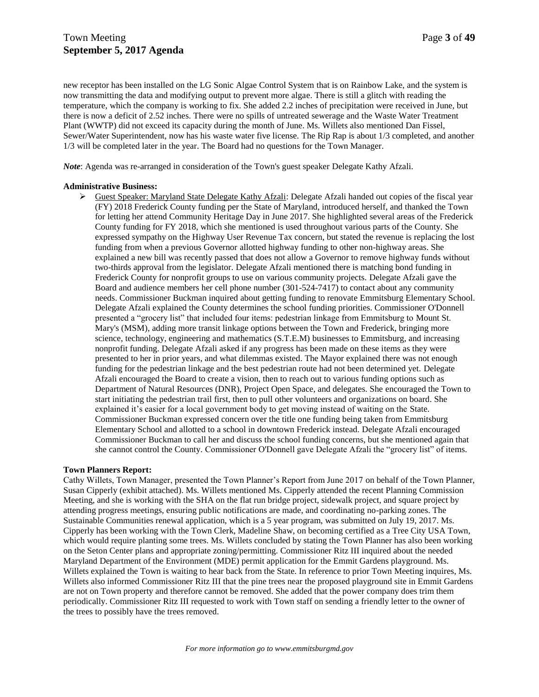new receptor has been installed on the LG Sonic Algae Control System that is on Rainbow Lake, and the system is now transmitting the data and modifying output to prevent more algae. There is still a glitch with reading the temperature, which the company is working to fix. She added 2.2 inches of precipitation were received in June, but there is now a deficit of 2.52 inches. There were no spills of untreated sewerage and the Waste Water Treatment Plant (WWTP) did not exceed its capacity during the month of June. Ms. Willets also mentioned Dan Fissel, Sewer/Water Superintendent, now has his waste water five license. The Rip Rap is about 1/3 completed, and another 1/3 will be completed later in the year. The Board had no questions for the Town Manager.

*Note*: Agenda was re-arranged in consideration of the Town's guest speaker Delegate Kathy Afzali.

#### **Administrative Business:**

 $\triangleright$  Guest Speaker: Maryland State Delegate Kathy Afzali: Delegate Afzali handed out copies of the fiscal year (FY) 2018 Frederick County funding per the State of Maryland, introduced herself, and thanked the Town for letting her attend Community Heritage Day in June 2017. She highlighted several areas of the Frederick County funding for FY 2018, which she mentioned is used throughout various parts of the County. She expressed sympathy on the Highway User Revenue Tax concern, but stated the revenue is replacing the lost funding from when a previous Governor allotted highway funding to other non-highway areas. She explained a new bill was recently passed that does not allow a Governor to remove highway funds without two-thirds approval from the legislator. Delegate Afzali mentioned there is matching bond funding in Frederick County for nonprofit groups to use on various community projects. Delegate Afzali gave the Board and audience members her cell phone number (301-524-7417) to contact about any community needs. Commissioner Buckman inquired about getting funding to renovate Emmitsburg Elementary School. Delegate Afzali explained the County determines the school funding priorities. Commissioner O'Donnell presented a "grocery list" that included four items: pedestrian linkage from Emmitsburg to Mount St. Mary's (MSM), adding more transit linkage options between the Town and Frederick, bringing more science, technology, engineering and mathematics (S.T.E.M) businesses to Emmitsburg, and increasing nonprofit funding. Delegate Afzali asked if any progress has been made on these items as they were presented to her in prior years, and what dilemmas existed. The Mayor explained there was not enough funding for the pedestrian linkage and the best pedestrian route had not been determined yet. Delegate Afzali encouraged the Board to create a vision, then to reach out to various funding options such as Department of Natural Resources (DNR), Project Open Space, and delegates. She encouraged the Town to start initiating the pedestrian trail first, then to pull other volunteers and organizations on board. She explained it's easier for a local government body to get moving instead of waiting on the State. Commissioner Buckman expressed concern over the title one funding being taken from Emmitsburg Elementary School and allotted to a school in downtown Frederick instead. Delegate Afzali encouraged Commissioner Buckman to call her and discuss the school funding concerns, but she mentioned again that she cannot control the County. Commissioner O'Donnell gave Delegate Afzali the "grocery list" of items.

#### **Town Planners Report:**

Cathy Willets, Town Manager, presented the Town Planner's Report from June 2017 on behalf of the Town Planner, Susan Cipperly (exhibit attached). Ms. Willets mentioned Ms. Cipperly attended the recent Planning Commission Meeting, and she is working with the SHA on the flat run bridge project, sidewalk project, and square project by attending progress meetings, ensuring public notifications are made, and coordinating no-parking zones. The Sustainable Communities renewal application, which is a 5 year program, was submitted on July 19, 2017. Ms. Cipperly has been working with the Town Clerk, Madeline Shaw, on becoming certified as a Tree City USA Town, which would require planting some trees. Ms. Willets concluded by stating the Town Planner has also been working on the Seton Center plans and appropriate zoning/permitting. Commissioner Ritz III inquired about the needed Maryland Department of the Environment (MDE) permit application for the Emmit Gardens playground. Ms. Willets explained the Town is waiting to hear back from the State. In reference to prior Town Meeting inquires, Ms. Willets also informed Commissioner Ritz III that the pine trees near the proposed playground site in Emmit Gardens are not on Town property and therefore cannot be removed. She added that the power company does trim them periodically. Commissioner Ritz III requested to work with Town staff on sending a friendly letter to the owner of the trees to possibly have the trees removed.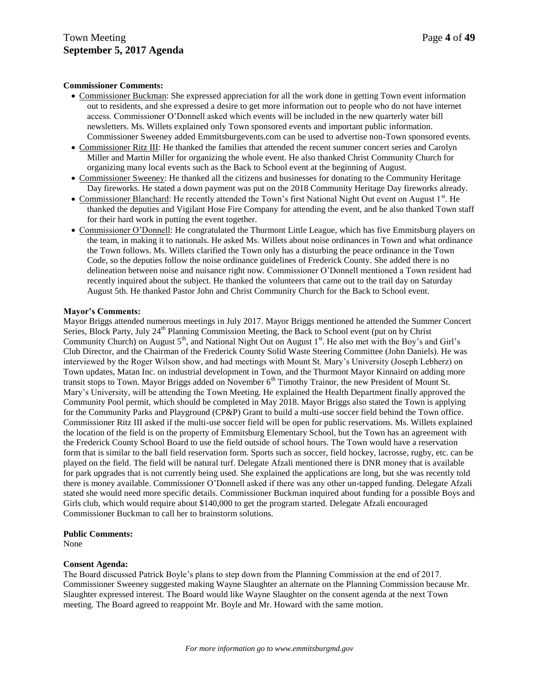#### **Commissioner Comments:**

- Commissioner Buckman: She expressed appreciation for all the work done in getting Town event information out to residents, and she expressed a desire to get more information out to people who do not have internet access. Commissioner O'Donnell asked which events will be included in the new quarterly water bill newsletters. Ms. Willets explained only Town sponsored events and important public information. Commissioner Sweeney added Emmitsburgevents.com can be used to advertise non-Town sponsored events.
- Commissioner Ritz III: He thanked the families that attended the recent summer concert series and Carolyn Miller and Martin Miller for organizing the whole event. He also thanked Christ Community Church for organizing many local events such as the Back to School event at the beginning of August.
- Commissioner Sweeney: He thanked all the citizens and businesses for donating to the Community Heritage Day fireworks. He stated a down payment was put on the 2018 Community Heritage Day fireworks already.
- Commissioner Blanchard: He recently attended the Town's first National Night Out event on August 1<sup>st</sup>. He thanked the deputies and Vigilant Hose Fire Company for attending the event, and he also thanked Town staff for their hard work in putting the event together.
- Commissioner O'Donnell: He congratulated the Thurmont Little League, which has five Emmitsburg players on the team, in making it to nationals. He asked Ms. Willets about noise ordinances in Town and what ordinance the Town follows. Ms. Willets clarified the Town only has a disturbing the peace ordinance in the Town Code, so the deputies follow the noise ordinance guidelines of Frederick County. She added there is no delineation between noise and nuisance right now. Commissioner O'Donnell mentioned a Town resident had recently inquired about the subject. He thanked the volunteers that came out to the trail day on Saturday August 5th. He thanked Pastor John and Christ Community Church for the Back to School event.

#### **Mayor's Comments:**

Mayor Briggs attended numerous meetings in July 2017. Mayor Briggs mentioned he attended the Summer Concert Series, Block Party, July 24<sup>th</sup> Planning Commission Meeting, the Back to School event (put on by Christ Community Church) on August 5<sup>th</sup>, and National Night Out on August 1<sup>st</sup>. He also met with the Boy's and Girl's Club Director, and the Chairman of the Frederick County Solid Waste Steering Committee (John Daniels). He was interviewed by the Roger Wilson show, and had meetings with Mount St. Mary's University (Joseph Lebherz) on Town updates, Matan Inc. on industrial development in Town, and the Thurmont Mayor Kinnaird on adding more transit stops to Town. Mayor Briggs added on November 6<sup>th</sup> Timothy Trainor, the new President of Mount St. Mary's University, will be attending the Town Meeting. He explained the Health Department finally approved the Community Pool permit, which should be completed in May 2018. Mayor Briggs also stated the Town is applying for the Community Parks and Playground (CP&P) Grant to build a multi-use soccer field behind the Town office. Commissioner Ritz III asked if the multi-use soccer field will be open for public reservations. Ms. Willets explained the location of the field is on the property of Emmitsburg Elementary School, but the Town has an agreement with the Frederick County School Board to use the field outside of school hours. The Town would have a reservation form that is similar to the ball field reservation form. Sports such as soccer, field hockey, lacrosse, rugby, etc. can be played on the field. The field will be natural turf. Delegate Afzali mentioned there is DNR money that is available for park upgrades that is not currently being used. She explained the applications are long, but she was recently told there is money available. Commissioner O'Donnell asked if there was any other un-tapped funding. Delegate Afzali stated she would need more specific details. Commissioner Buckman inquired about funding for a possible Boys and Girls club, which would require about \$140,000 to get the program started. Delegate Afzali encouraged Commissioner Buckman to call her to brainstorm solutions.

#### **Public Comments:**

None

#### **Consent Agenda:**

The Board discussed Patrick Boyle's plans to step down from the Planning Commission at the end of 2017. Commissioner Sweeney suggested making Wayne Slaughter an alternate on the Planning Commission because Mr. Slaughter expressed interest. The Board would like Wayne Slaughter on the consent agenda at the next Town meeting. The Board agreed to reappoint Mr. Boyle and Mr. Howard with the same motion.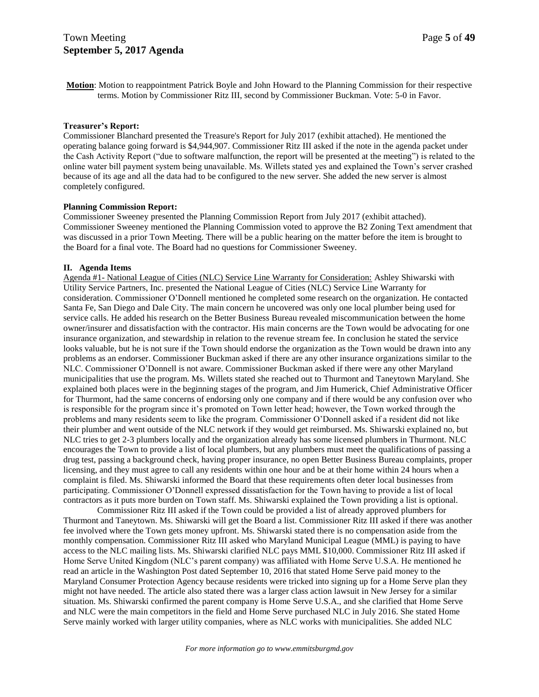**Motion**: Motion to reappointment Patrick Boyle and John Howard to the Planning Commission for their respective terms. Motion by Commissioner Ritz III, second by Commissioner Buckman. Vote: 5-0 in Favor.

#### **Treasurer's Report:**

Commissioner Blanchard presented the Treasure's Report for July 2017 (exhibit attached). He mentioned the operating balance going forward is \$4,944,907. Commissioner Ritz III asked if the note in the agenda packet under the Cash Activity Report ("due to software malfunction, the report will be presented at the meeting") is related to the online water bill payment system being unavailable. Ms. Willets stated yes and explained the Town's server crashed because of its age and all the data had to be configured to the new server. She added the new server is almost completely configured.

## **Planning Commission Report:**

Commissioner Sweeney presented the Planning Commission Report from July 2017 (exhibit attached). Commissioner Sweeney mentioned the Planning Commission voted to approve the B2 Zoning Text amendment that was discussed in a prior Town Meeting. There will be a public hearing on the matter before the item is brought to the Board for a final vote. The Board had no questions for Commissioner Sweeney.

## **II. Agenda Items**

Agenda #1- National League of Cities (NLC) Service Line Warranty for Consideration: Ashley Shiwarski with Utility Service Partners, Inc. presented the National League of Cities (NLC) Service Line Warranty for consideration. Commissioner O'Donnell mentioned he completed some research on the organization. He contacted Santa Fe, San Diego and Dale City. The main concern he uncovered was only one local plumber being used for service calls. He added his research on the Better Business Bureau revealed miscommunication between the home owner/insurer and dissatisfaction with the contractor. His main concerns are the Town would be advocating for one insurance organization, and stewardship in relation to the revenue stream fee. In conclusion he stated the service looks valuable, but he is not sure if the Town should endorse the organization as the Town would be drawn into any problems as an endorser. Commissioner Buckman asked if there are any other insurance organizations similar to the NLC. Commissioner O'Donnell is not aware. Commissioner Buckman asked if there were any other Maryland municipalities that use the program. Ms. Willets stated she reached out to Thurmont and Taneytown Maryland. She explained both places were in the beginning stages of the program, and Jim Humerick, Chief Administrative Officer for Thurmont, had the same concerns of endorsing only one company and if there would be any confusion over who is responsible for the program since it's promoted on Town letter head; however, the Town worked through the problems and many residents seem to like the program. Commissioner O'Donnell asked if a resident did not like their plumber and went outside of the NLC network if they would get reimbursed. Ms. Shiwarski explained no, but NLC tries to get 2-3 plumbers locally and the organization already has some licensed plumbers in Thurmont. NLC encourages the Town to provide a list of local plumbers, but any plumbers must meet the qualifications of passing a drug test, passing a background check, having proper insurance, no open Better Business Bureau complaints, proper licensing, and they must agree to call any residents within one hour and be at their home within 24 hours when a complaint is filed. Ms. Shiwarski informed the Board that these requirements often deter local businesses from participating. Commissioner O'Donnell expressed dissatisfaction for the Town having to provide a list of local contractors as it puts more burden on Town staff. Ms. Shiwarski explained the Town providing a list is optional.

Commissioner Ritz III asked if the Town could be provided a list of already approved plumbers for Thurmont and Taneytown. Ms. Shiwarski will get the Board a list. Commissioner Ritz III asked if there was another fee involved where the Town gets money upfront. Ms. Shiwarski stated there is no compensation aside from the monthly compensation. Commissioner Ritz III asked who Maryland Municipal League (MML) is paying to have access to the NLC mailing lists. Ms. Shiwarski clarified NLC pays MML \$10,000. Commissioner Ritz III asked if Home Serve United Kingdom (NLC's parent company) was affiliated with Home Serve U.S.A. He mentioned he read an article in the Washington Post dated September 10, 2016 that stated Home Serve paid money to the Maryland Consumer Protection Agency because residents were tricked into signing up for a Home Serve plan they might not have needed. The article also stated there was a larger class action lawsuit in New Jersey for a similar situation. Ms. Shiwarski confirmed the parent company is Home Serve U.S.A., and she clarified that Home Serve and NLC were the main competitors in the field and Home Serve purchased NLC in July 2016. She stated Home Serve mainly worked with larger utility companies, where as NLC works with municipalities. She added NLC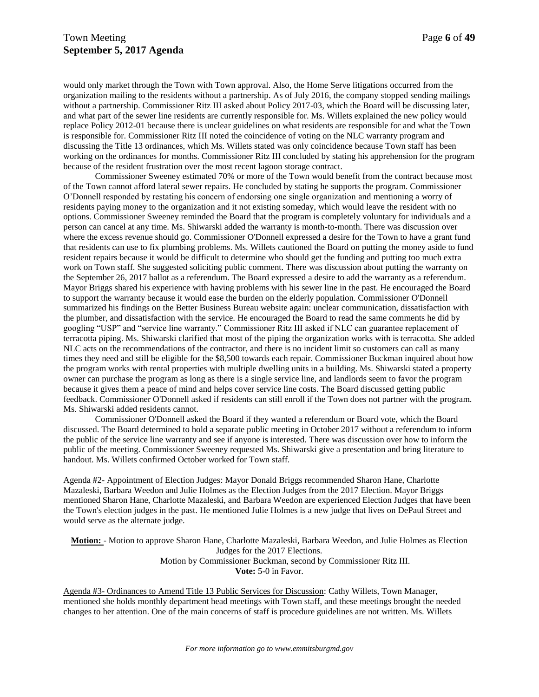would only market through the Town with Town approval. Also, the Home Serve litigations occurred from the organization mailing to the residents without a partnership. As of July 2016, the company stopped sending mailings without a partnership. Commissioner Ritz III asked about Policy 2017-03, which the Board will be discussing later, and what part of the sewer line residents are currently responsible for. Ms. Willets explained the new policy would replace Policy 2012-01 because there is unclear guidelines on what residents are responsible for and what the Town is responsible for. Commissioner Ritz III noted the coincidence of voting on the NLC warranty program and discussing the Title 13 ordinances, which Ms. Willets stated was only coincidence because Town staff has been working on the ordinances for months. Commissioner Ritz III concluded by stating his apprehension for the program because of the resident frustration over the most recent lagoon storage contract.

Commissioner Sweeney estimated 70% or more of the Town would benefit from the contract because most of the Town cannot afford lateral sewer repairs. He concluded by stating he supports the program. Commissioner O'Donnell responded by restating his concern of endorsing one single organization and mentioning a worry of residents paying money to the organization and it not existing someday, which would leave the resident with no options. Commissioner Sweeney reminded the Board that the program is completely voluntary for individuals and a person can cancel at any time. Ms. Shiwarski added the warranty is month-to-month. There was discussion over where the excess revenue should go. Commissioner O'Donnell expressed a desire for the Town to have a grant fund that residents can use to fix plumbing problems. Ms. Willets cautioned the Board on putting the money aside to fund resident repairs because it would be difficult to determine who should get the funding and putting too much extra work on Town staff. She suggested soliciting public comment. There was discussion about putting the warranty on the September 26, 2017 ballot as a referendum. The Board expressed a desire to add the warranty as a referendum. Mayor Briggs shared his experience with having problems with his sewer line in the past. He encouraged the Board to support the warranty because it would ease the burden on the elderly population. Commissioner O'Donnell summarized his findings on the Better Business Bureau website again: unclear communication, dissatisfaction with the plumber, and dissatisfaction with the service. He encouraged the Board to read the same comments he did by googling "USP" and "service line warranty." Commissioner Ritz III asked if NLC can guarantee replacement of terracotta piping. Ms. Shiwarski clarified that most of the piping the organization works with is terracotta. She added NLC acts on the recommendations of the contractor, and there is no incident limit so customers can call as many times they need and still be eligible for the \$8,500 towards each repair. Commissioner Buckman inquired about how the program works with rental properties with multiple dwelling units in a building. Ms. Shiwarski stated a property owner can purchase the program as long as there is a single service line, and landlords seem to favor the program because it gives them a peace of mind and helps cover service line costs. The Board discussed getting public feedback. Commissioner O'Donnell asked if residents can still enroll if the Town does not partner with the program. Ms. Shiwarski added residents cannot.

Commissioner O'Donnell asked the Board if they wanted a referendum or Board vote, which the Board discussed. The Board determined to hold a separate public meeting in October 2017 without a referendum to inform the public of the service line warranty and see if anyone is interested. There was discussion over how to inform the public of the meeting. Commissioner Sweeney requested Ms. Shiwarski give a presentation and bring literature to handout. Ms. Willets confirmed October worked for Town staff.

Agenda #2- Appointment of Election Judges: Mayor Donald Briggs recommended Sharon Hane, Charlotte Mazaleski, Barbara Weedon and Julie Holmes as the Election Judges from the 2017 Election. Mayor Briggs mentioned Sharon Hane, Charlotte Mazaleski, and Barbara Weedon are experienced Election Judges that have been the Town's election judges in the past. He mentioned Julie Holmes is a new judge that lives on DePaul Street and would serve as the alternate judge.

**Motion:** - Motion to approve Sharon Hane, Charlotte Mazaleski, Barbara Weedon, and Julie Holmes as Election Judges for the 2017 Elections. Motion by Commissioner Buckman, second by Commissioner Ritz III. **Vote:** 5-0 in Favor.

Agenda #3- Ordinances to Amend Title 13 Public Services for Discussion: Cathy Willets, Town Manager, mentioned she holds monthly department head meetings with Town staff, and these meetings brought the needed changes to her attention. One of the main concerns of staff is procedure guidelines are not written. Ms. Willets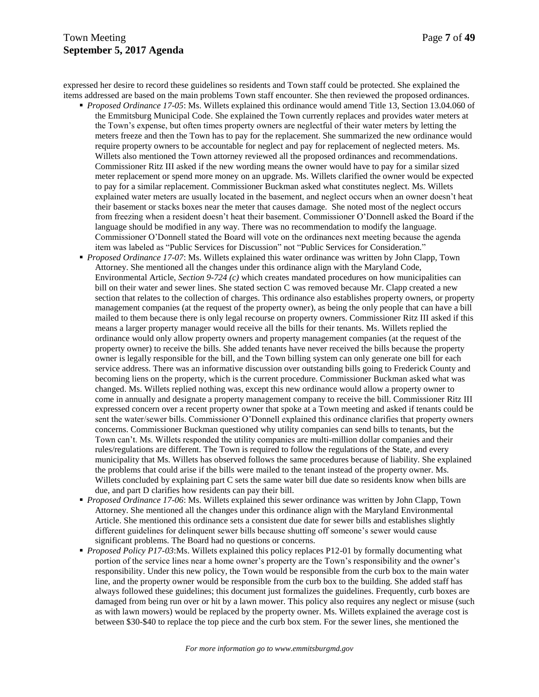# Town Meeting Page 7 of 49 **September 5, 2017 Agenda**

expressed her desire to record these guidelines so residents and Town staff could be protected. She explained the items addressed are based on the main problems Town staff encounter. She then reviewed the proposed ordinances.

- *Proposed Ordinance 17-05*: Ms. Willets explained this ordinance would amend Title 13, Section 13.04.060 of the Emmitsburg Municipal Code. She explained the Town currently replaces and provides water meters at the Town's expense, but often times property owners are neglectful of their water meters by letting the meters freeze and then the Town has to pay for the replacement. She summarized the new ordinance would require property owners to be accountable for neglect and pay for replacement of neglected meters. Ms. Willets also mentioned the Town attorney reviewed all the proposed ordinances and recommendations. Commissioner Ritz III asked if the new wording means the owner would have to pay for a similar sized meter replacement or spend more money on an upgrade. Ms. Willets clarified the owner would be expected to pay for a similar replacement. Commissioner Buckman asked what constitutes neglect. Ms. Willets explained water meters are usually located in the basement, and neglect occurs when an owner doesn't heat their basement or stacks boxes near the meter that causes damage. She noted most of the neglect occurs from freezing when a resident doesn't heat their basement. Commissioner O'Donnell asked the Board if the language should be modified in any way. There was no recommendation to modify the language. Commissioner O'Donnell stated the Board will vote on the ordinances next meeting because the agenda item was labeled as "Public Services for Discussion" not "Public Services for Consideration."
- *Proposed Ordinance 17-07*: Ms. Willets explained this water ordinance was written by John Clapp, Town Attorney. She mentioned all the changes under this ordinance align with the Maryland Code, Environmental Article, *Section 9-724 (c)* which creates mandated procedures on how municipalities can bill on their water and sewer lines. She stated section C was removed because Mr. Clapp created a new section that relates to the collection of charges. This ordinance also establishes property owners, or property management companies (at the request of the property owner), as being the only people that can have a bill mailed to them because there is only legal recourse on property owners. Commissioner Ritz III asked if this means a larger property manager would receive all the bills for their tenants. Ms. Willets replied the ordinance would only allow property owners and property management companies (at the request of the property owner) to receive the bills. She added tenants have never received the bills because the property owner is legally responsible for the bill, and the Town billing system can only generate one bill for each service address. There was an informative discussion over outstanding bills going to Frederick County and becoming liens on the property, which is the current procedure. Commissioner Buckman asked what was changed. Ms. Willets replied nothing was, except this new ordinance would allow a property owner to come in annually and designate a property management company to receive the bill. Commissioner Ritz III expressed concern over a recent property owner that spoke at a Town meeting and asked if tenants could be sent the water/sewer bills. Commissioner O'Donnell explained this ordinance clarifies that property owners concerns. Commissioner Buckman questioned why utility companies can send bills to tenants, but the Town can't. Ms. Willets responded the utility companies are multi-million dollar companies and their rules/regulations are different. The Town is required to follow the regulations of the State, and every municipality that Ms. Willets has observed follows the same procedures because of liability. She explained the problems that could arise if the bills were mailed to the tenant instead of the property owner. Ms. Willets concluded by explaining part C sets the same water bill due date so residents know when bills are due, and part D clarifies how residents can pay their bill.
- *Proposed Ordinance 17-06*: Ms. Willets explained this sewer ordinance was written by John Clapp, Town Attorney. She mentioned all the changes under this ordinance align with the Maryland Environmental Article. She mentioned this ordinance sets a consistent due date for sewer bills and establishes slightly different guidelines for delinquent sewer bills because shutting off someone's sewer would cause significant problems. The Board had no questions or concerns.
- *Proposed Policy P17-03*:Ms. Willets explained this policy replaces P12-01 by formally documenting what portion of the service lines near a home owner's property are the Town's responsibility and the owner's responsibility. Under this new policy, the Town would be responsible from the curb box to the main water line, and the property owner would be responsible from the curb box to the building. She added staff has always followed these guidelines; this document just formalizes the guidelines. Frequently, curb boxes are damaged from being run over or hit by a lawn mower. This policy also requires any neglect or misuse (such as with lawn mowers) would be replaced by the property owner. Ms. Willets explained the average cost is between \$30-\$40 to replace the top piece and the curb box stem. For the sewer lines, she mentioned the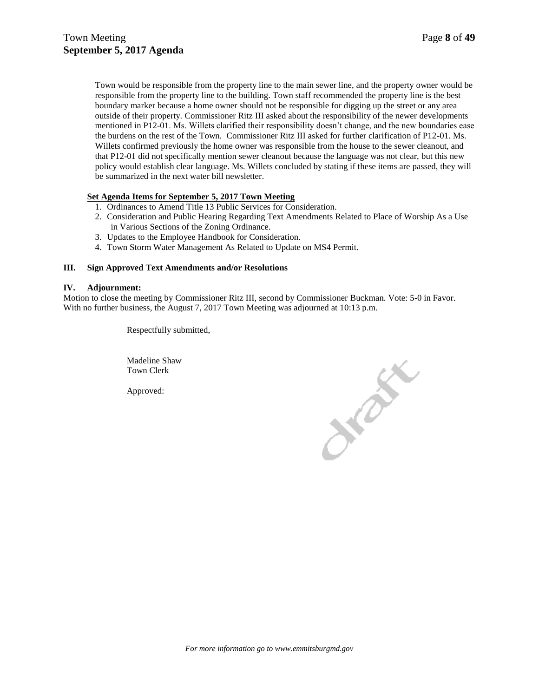Town would be responsible from the property line to the main sewer line, and the property owner would be responsible from the property line to the building. Town staff recommended the property line is the best boundary marker because a home owner should not be responsible for digging up the street or any area outside of their property. Commissioner Ritz III asked about the responsibility of the newer developments mentioned in P12-01. Ms. Willets clarified their responsibility doesn't change, and the new boundaries ease the burdens on the rest of the Town. Commissioner Ritz III asked for further clarification of P12-01. Ms. Willets confirmed previously the home owner was responsible from the house to the sewer cleanout, and that P12-01 did not specifically mention sewer cleanout because the language was not clear, but this new policy would establish clear language. Ms. Willets concluded by stating if these items are passed, they will be summarized in the next water bill newsletter.

## **Set Agenda Items for September 5, 2017 Town Meeting**

- 1. Ordinances to Amend Title 13 Public Services for Consideration.
- 2. Consideration and Public Hearing Regarding Text Amendments Related to Place of Worship As a Use in Various Sections of the Zoning Ordinance.
- 3. Updates to the Employee Handbook for Consideration.
- 4. Town Storm Water Management As Related to Update on MS4 Permit.

## **III. Sign Approved Text Amendments and/or Resolutions**

#### **IV. Adjournment:**

Motion to close the meeting by Commissioner Ritz III, second by Commissioner Buckman. Vote: 5-0 in Favor. With no further business, the August 7, 2017 Town Meeting was adjourned at 10:13 p.m.

Respectfully submitted,

Madeline Shaw Town Clerk

Approved:

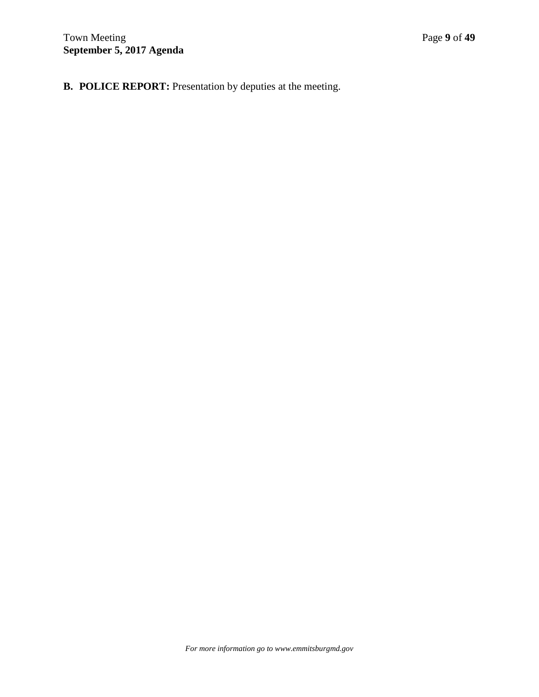**B. POLICE REPORT:** Presentation by deputies at the meeting.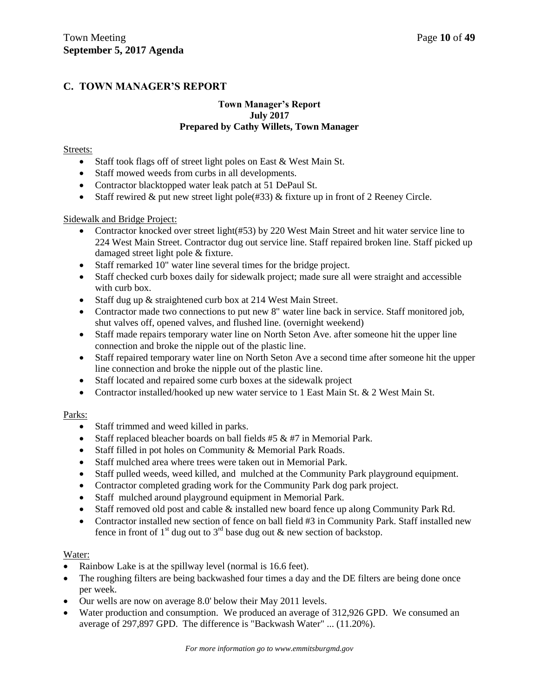# **C. TOWN MANAGER'S REPORT**

## **Town Manager's Report July 2017 Prepared by Cathy Willets, Town Manager**

## Streets:

- Staff took flags off of street light poles on East & West Main St.
- Staff mowed weeds from curbs in all developments.
- Contractor blacktopped water leak patch at 51 DePaul St.
- Staff rewired  $\&$  put new street light pole(#33)  $\&$  fixture up in front of 2 Reeney Circle.

## Sidewalk and Bridge Project:

- Contractor knocked over street light(#53) by 220 West Main Street and hit water service line to 224 West Main Street. Contractor dug out service line. Staff repaired broken line. Staff picked up damaged street light pole & fixture.
- Staff remarked 10" water line several times for the bridge project.
- Staff checked curb boxes daily for sidewalk project; made sure all were straight and accessible with curb box.
- Staff dug up & straightened curb box at 214 West Main Street.
- Contractor made two connections to put new 8" water line back in service. Staff monitored job, shut valves off, opened valves, and flushed line. (overnight weekend)
- Staff made repairs temporary water line on North Seton Ave. after someone hit the upper line connection and broke the nipple out of the plastic line.
- Staff repaired temporary water line on North Seton Ave a second time after someone hit the upper line connection and broke the nipple out of the plastic line.
- Staff located and repaired some curb boxes at the sidewalk project
- Contractor installed/hooked up new water service to 1 East Main St. & 2 West Main St.

# Parks:

- Staff trimmed and weed killed in parks.
- Staff replaced bleacher boards on ball fields  $#5 \& #7$  in Memorial Park.
- Staff filled in pot holes on Community & Memorial Park Roads.
- Staff mulched area where trees were taken out in Memorial Park.
- Staff pulled weeds, weed killed, and mulched at the Community Park playground equipment.
- Contractor completed grading work for the Community Park dog park project.
- Staff mulched around playground equipment in Memorial Park.
- Staff removed old post and cable & installed new board fence up along Community Park Rd.
- Contractor installed new section of fence on ball field #3 in Community Park. Staff installed new fence in front of 1<sup>st</sup> dug out to 3<sup>rd</sup> base dug out & new section of backstop.

# Water:

- Rainbow Lake is at the spillway level (normal is 16.6 feet).
- The roughing filters are being backwashed four times a day and the DE filters are being done once per week.
- Our wells are now on average 8.0' below their May 2011 levels.
- Water production and consumption. We produced an average of 312,926 GPD. We consumed an average of 297,897 GPD. The difference is "Backwash Water" ... (11.20%).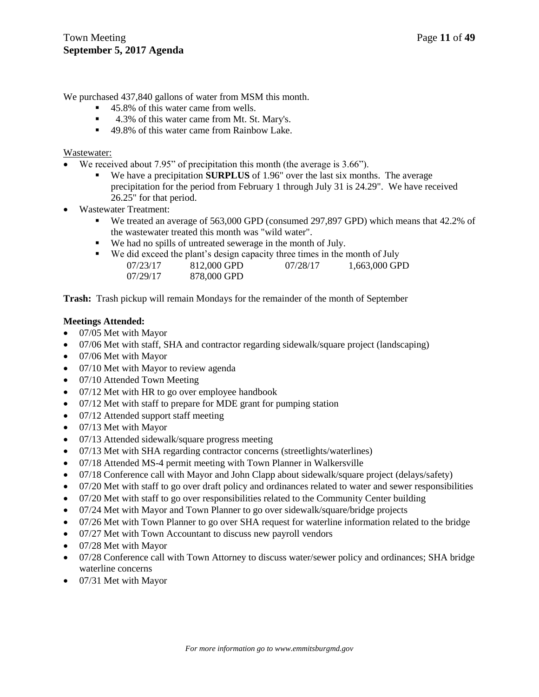We purchased  $437,840$  gallons of water from MSM this month.

- 45.8% of this water came from wells.
- 4.3% of this water came from Mt. St. Mary's.
- 49.8% of this water came from Rainbow Lake.

## Wastewater:

- We received about 7.95" of precipitation this month (the average is 3.66").
	- We have a precipitation **SURPLUS** of 1.96" over the last six months. The average precipitation for the period from February 1 through July 31 is 24.29". We have received 26.25" for that period.
- Wastewater Treatment:
	- We treated an average of 563,000 GPD (consumed 297,897 GPD) which means that 42.2% of the wastewater treated this month was "wild water".
	- We had no spills of untreated sewerage in the month of July.
	- We did exceed the plant's design capacity three times in the month of July 07/23/17 812,000 GPD 07/28/17 1,663,000 GPD 07/29/17 878,000 GPD

**Trash:** Trash pickup will remain Mondays for the remainder of the month of September

## **Meetings Attended:**

- 07/05 Met with Mayor
- 07/06 Met with staff, SHA and contractor regarding sidewalk/square project (landscaping)
- 07/06 Met with Mayor
- 07/10 Met with Mayor to review agenda
- 07/10 Attended Town Meeting
- 07/12 Met with HR to go over employee handbook
- 07/12 Met with staff to prepare for MDE grant for pumping station
- 07/12 Attended support staff meeting
- 07/13 Met with Mayor
- 07/13 Attended sidewalk/square progress meeting
- 07/13 Met with SHA regarding contractor concerns (streetlights/waterlines)
- 07/18 Attended MS-4 permit meeting with Town Planner in Walkersville
- 07/18 Conference call with Mayor and John Clapp about sidewalk/square project (delays/safety)
- 07/20 Met with staff to go over draft policy and ordinances related to water and sewer responsibilities
- 07/20 Met with staff to go over responsibilities related to the Community Center building
- 07/24 Met with Mayor and Town Planner to go over sidewalk/square/bridge projects
- 07/26 Met with Town Planner to go over SHA request for waterline information related to the bridge
- 07/27 Met with Town Accountant to discuss new payroll vendors
- 07/28 Met with Mayor
- 07/28 Conference call with Town Attorney to discuss water/sewer policy and ordinances; SHA bridge waterline concerns
- 07/31 Met with Mayor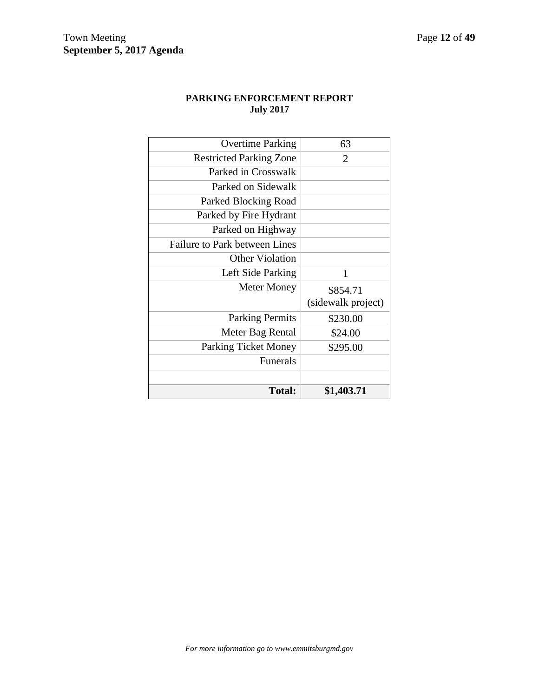# **PARKING ENFORCEMENT REPORT July 2017**

| \$295.00           |
|--------------------|
| \$24.00            |
| \$230.00           |
| (sidewalk project) |
| \$854.71           |
| 1                  |
|                    |
|                    |
|                    |
|                    |
|                    |
|                    |
|                    |
| 2                  |
| 63                 |
|                    |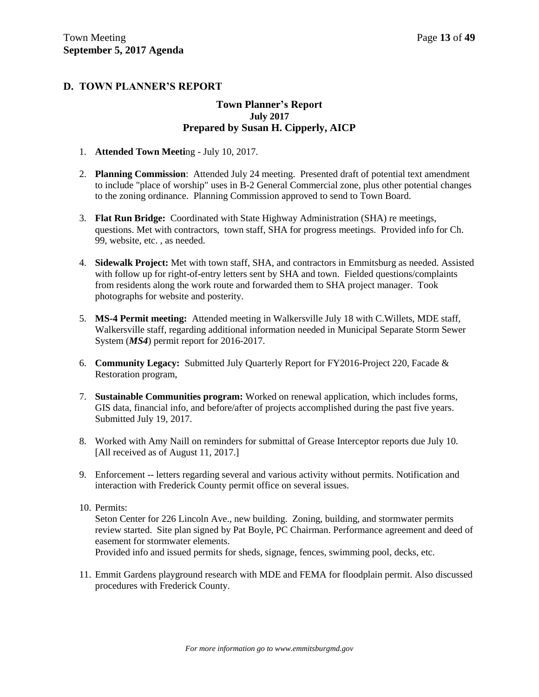# **D. TOWN PLANNER'S REPORT**

## **Town Planner's Report July 2017 Prepared by Susan H. Cipperly, AICP**

- 1. **Attended Town Meeti**ng July 10, 2017.
- 2. **Planning Commission**: Attended July 24 meeting. Presented draft of potential text amendment to include "place of worship" uses in B-2 General Commercial zone, plus other potential changes to the zoning ordinance. Planning Commission approved to send to Town Board.
- 3. **Flat Run Bridge:** Coordinated with State Highway Administration (SHA) re meetings, questions. Met with contractors, town staff, SHA for progress meetings. Provided info for Ch. 99, website, etc. , as needed.
- 4. **Sidewalk Project:** Met with town staff, SHA, and contractors in Emmitsburg as needed. Assisted with follow up for right-of-entry letters sent by SHA and town. Fielded questions/complaints from residents along the work route and forwarded them to SHA project manager. Took photographs for website and posterity.
- 5. **MS-4 Permit meeting:** Attended meeting in Walkersville July 18 with C.Willets, MDE staff, Walkersville staff, regarding additional information needed in Municipal Separate Storm Sewer System (*MS4*) permit report for 2016-2017.
- 6. **Community Legacy:** Submitted July Quarterly Report for FY2016-Project 220, Facade & Restoration program,
- 7. **Sustainable Communities program:** Worked on renewal application, which includes forms, GIS data, financial info, and before/after of projects accomplished during the past five years. Submitted July 19, 2017.
- 8. Worked with Amy Naill on reminders for submittal of Grease Interceptor reports due July 10. [All received as of August 11, 2017.]
- 9. Enforcement -- letters regarding several and various activity without permits. Notification and interaction with Frederick County permit office on several issues.
- 10. Permits:

Seton Center for 226 Lincoln Ave., new building. Zoning, building, and stormwater permits review started. Site plan signed by Pat Boyle, PC Chairman. Performance agreement and deed of easement for stormwater elements.

Provided info and issued permits for sheds, signage, fences, swimming pool, decks, etc.

11. Emmit Gardens playground research with MDE and FEMA for floodplain permit. Also discussed procedures with Frederick County.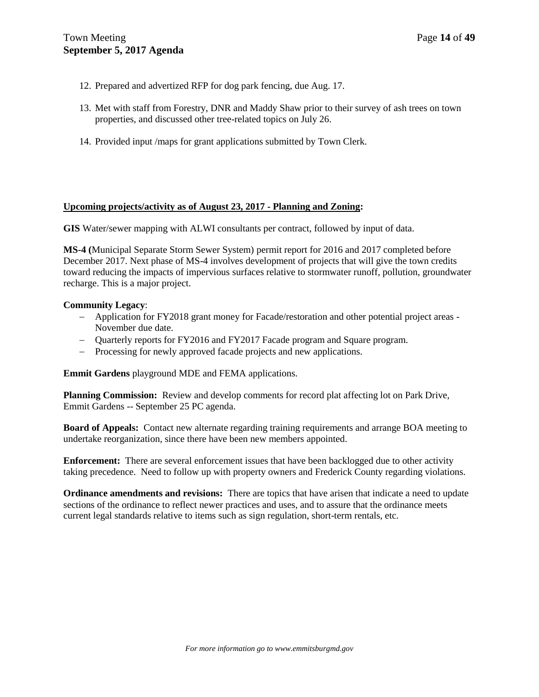- 12. Prepared and advertized RFP for dog park fencing, due Aug. 17.
- 13. Met with staff from Forestry, DNR and Maddy Shaw prior to their survey of ash trees on town properties, and discussed other tree-related topics on July 26.
- 14. Provided input /maps for grant applications submitted by Town Clerk.

## **Upcoming projects/activity as of August 23, 2017 - Planning and Zoning:**

**GIS** Water/sewer mapping with ALWI consultants per contract, followed by input of data.

**MS-4 (**Municipal Separate Storm Sewer System) permit report for 2016 and 2017 completed before December 2017. Next phase of MS-4 involves development of projects that will give the town credits toward reducing the impacts of impervious surfaces relative to stormwater runoff, pollution, groundwater recharge. This is a major project.

## **Community Legacy**:

- Application for FY2018 grant money for Facade/restoration and other potential project areas November due date.
- Quarterly reports for FY2016 and FY2017 Facade program and Square program.
- Processing for newly approved facade projects and new applications.

**Emmit Gardens** playground MDE and FEMA applications.

**Planning Commission:** Review and develop comments for record plat affecting lot on Park Drive, Emmit Gardens -- September 25 PC agenda.

**Board of Appeals:** Contact new alternate regarding training requirements and arrange BOA meeting to undertake reorganization, since there have been new members appointed.

**Enforcement:** There are several enforcement issues that have been backlogged due to other activity taking precedence. Need to follow up with property owners and Frederick County regarding violations.

**Ordinance amendments and revisions:** There are topics that have arisen that indicate a need to update sections of the ordinance to reflect newer practices and uses, and to assure that the ordinance meets current legal standards relative to items such as sign regulation, short-term rentals, etc.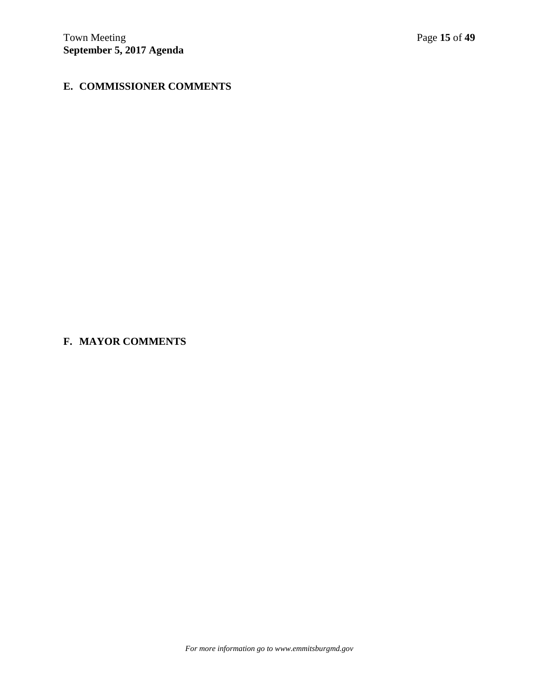# **E. COMMISSIONER COMMENTS**

# **F. MAYOR COMMENTS**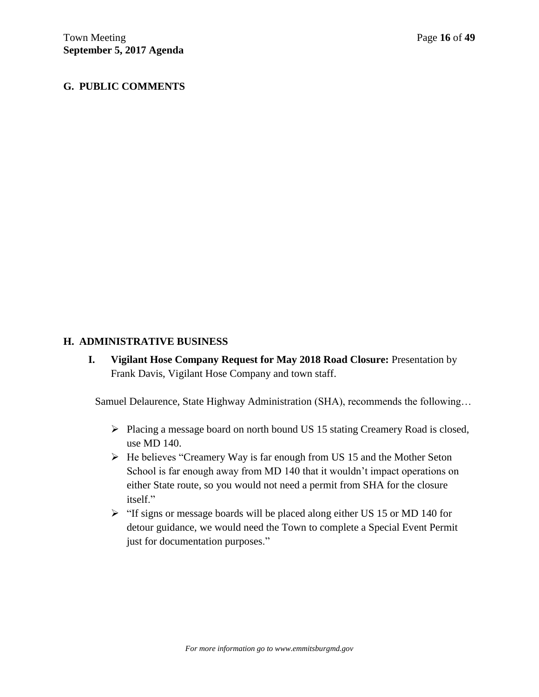# **G. PUBLIC COMMENTS**

# **H. ADMINISTRATIVE BUSINESS**

**I. Vigilant Hose Company Request for May 2018 Road Closure:** Presentation by Frank Davis, Vigilant Hose Company and town staff.

Samuel Delaurence, State Highway Administration (SHA), recommends the following…

- Placing a message board on north bound US 15 stating Creamery Road is closed, use MD 140.
- $\triangleright$  He believes "Creamery Way is far enough from US 15 and the Mother Seton School is far enough away from MD 140 that it wouldn't impact operations on either State route, so you would not need a permit from SHA for the closure itself."
- $\triangleright$  "If signs or message boards will be placed along either US 15 or MD 140 for detour guidance, we would need the Town to complete a Special Event Permit just for documentation purposes."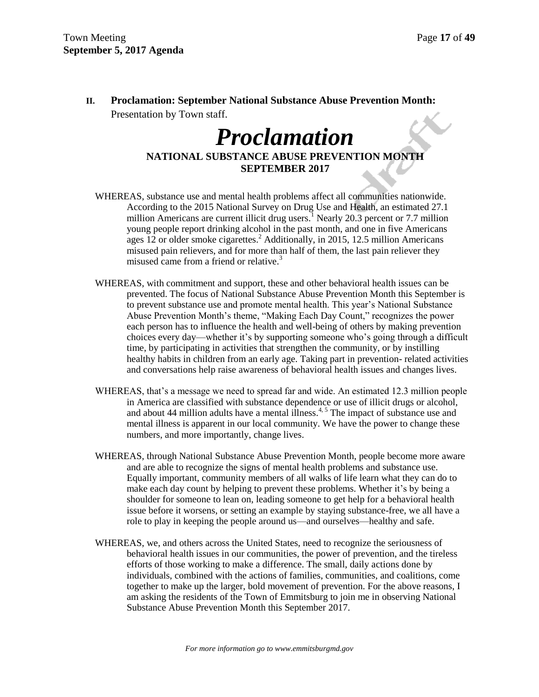**II. Proclamation: September National Substance Abuse Prevention Month:** Presentation by Town staff. X.,

# *Proclamation*

**NATIONAL SUBSTANCE ABUSE PREVENTION MONTH SEPTEMBER 2017**

- WHEREAS, substance use and mental health problems affect all communities nationwide. According to the 2015 National Survey on Drug Use and Health, an estimated 27.1 million Americans are current illicit drug users.<sup>1</sup> Nearly 20.3 percent or 7.7 million young people report drinking alcohol in the past month, and one in five Americans ages 12 or older smoke cigarettes.<sup>2</sup> Additionally, in 2015, 12.5 million Americans misused pain relievers, and for more than half of them, the last pain reliever they misused came from a friend or relative.<sup>3</sup>
- WHEREAS, with commitment and support, these and other behavioral health issues can be prevented. The focus of National Substance Abuse Prevention Month this September is to prevent substance use and promote mental health. This year's National Substance Abuse Prevention Month's theme, "Making Each Day Count," recognizes the power each person has to influence the health and well-being of others by making prevention choices every day—whether it's by supporting someone who's going through a difficult time, by participating in activities that strengthen the community, or by instilling healthy habits in children from an early age. Taking part in prevention- related activities and conversations help raise awareness of behavioral health issues and changes lives.
- WHEREAS, that's a message we need to spread far and wide. An estimated 12.3 million people in America are classified with substance dependence or use of illicit drugs or alcohol, and about 44 million adults have a mental illness.<sup>4, 5</sup> The impact of substance use and mental illness is apparent in our local community. We have the power to change these numbers, and more importantly, change lives.
- WHEREAS, through National Substance Abuse Prevention Month, people become more aware and are able to recognize the signs of mental health problems and substance use. Equally important, community members of all walks of life learn what they can do to make each day count by helping to prevent these problems. Whether it's by being a shoulder for someone to lean on, leading someone to get help for a behavioral health issue before it worsens, or setting an example by staying substance-free, we all have a role to play in keeping the people around us—and ourselves—healthy and safe.
- WHEREAS, we, and others across the United States, need to recognize the seriousness of behavioral health issues in our communities, the power of prevention, and the tireless efforts of those working to make a difference. The small, daily actions done by individuals, combined with the actions of families, communities, and coalitions, come together to make up the larger, bold movement of prevention. For the above reasons, I am asking the residents of the Town of Emmitsburg to join me in observing National Substance Abuse Prevention Month this September 2017.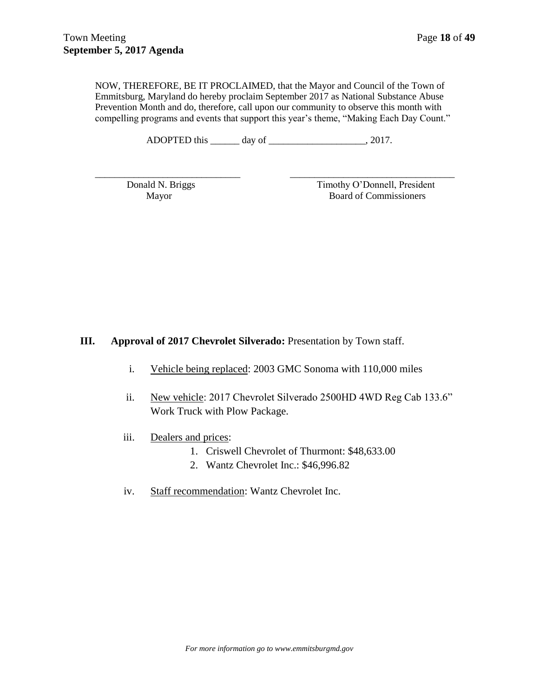NOW, THEREFORE, BE IT PROCLAIMED, that the Mayor and Council of the Town of Emmitsburg, Maryland do hereby proclaim September 2017 as National Substance Abuse Prevention Month and do, therefore, call upon our community to observe this month with compelling programs and events that support this year's theme, "Making Each Day Count."

ADOPTED this \_\_\_\_\_\_\_ day of \_\_\_\_\_\_\_\_\_\_\_\_\_\_\_\_\_\_\_\_, 2017.

\_\_\_\_\_\_\_\_\_\_\_\_\_\_\_\_\_\_\_\_\_\_\_\_\_\_\_\_\_\_ \_\_\_\_\_\_\_\_\_\_\_\_\_\_\_\_\_\_\_\_\_\_\_\_\_\_\_\_\_\_\_\_\_\_

Donald N. Briggs Timothy O'Donnell, President Mayor Board of Commissioners

**III. Approval of 2017 Chevrolet Silverado:** Presentation by Town staff.

- i. Vehicle being replaced: 2003 GMC Sonoma with 110,000 miles
- ii. New vehicle: 2017 Chevrolet Silverado 2500HD 4WD Reg Cab 133.6" Work Truck with Plow Package.
- iii. Dealers and prices:
	- 1. Criswell Chevrolet of Thurmont: \$48,633.00
	- 2. Wantz Chevrolet Inc.: \$46,996.82
- iv. Staff recommendation: Wantz Chevrolet Inc.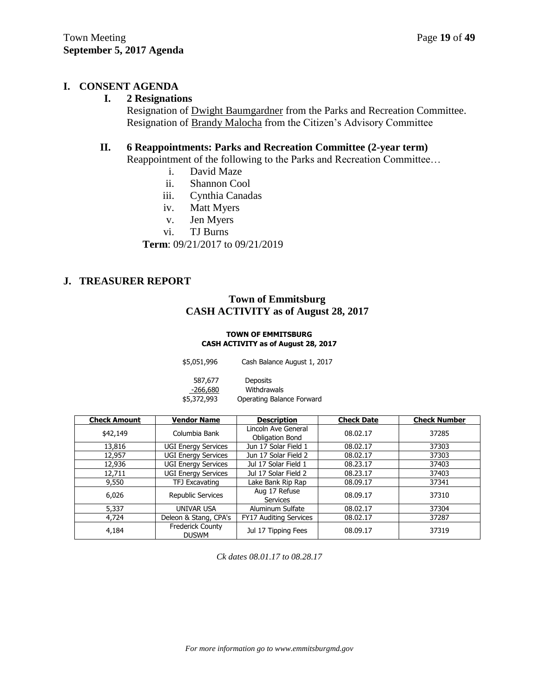# **I. CONSENT AGENDA**

## **I. 2 Resignations**

Resignation of Dwight Baumgardner from the Parks and Recreation Committee. Resignation of Brandy Malocha from the Citizen's Advisory Committee

# **II. 6 Reappointments: Parks and Recreation Committee (2-year term)**

Reappointment of the following to the Parks and Recreation Committee…

- i. David Maze
- ii. Shannon Cool
- iii. Cynthia Canadas
- iv. Matt Myers
- v. Jen Myers
- vi. TJ Burns

**Term**: 09/21/2017 to 09/21/2019

## **J. TREASURER REPORT**

# **Town of Emmitsburg CASH ACTIVITY as of August 28, 2017**

## **TOWN OF EMMITSBURG CASH ACTIVITY as of August 28, 2017**

| \$5,051,996           | Cash Balance August 1, 2017    |
|-----------------------|--------------------------------|
| 587,677<br>$-266,680$ | <b>Deposits</b><br>Withdrawals |
| \$5,372,993           | Operating Balance Forward      |

| <b>Check Amount</b>                              | <b>Vendor Name</b>         | <b>Description</b>                     | <b>Check Date</b> | <b>Check Number</b> |
|--------------------------------------------------|----------------------------|----------------------------------------|-------------------|---------------------|
| \$42,149                                         | Columbia Bank              | Lincoln Ave General<br>Obligation Bond | 08.02.17          | 37285               |
| 13,816                                           | <b>UGI Energy Services</b> | Jun 17 Solar Field 1                   | 08.02.17          | 37303               |
| 12,957                                           | <b>UGI Energy Services</b> | Jun 17 Solar Field 2                   | 08.02.17          | 37303               |
| 12,936                                           | <b>UGI Energy Services</b> | Jul 17 Solar Field 1                   | 08.23.17          | 37403               |
| 12,711                                           | <b>UGI Energy Services</b> | Jul 17 Solar Field 2                   | 08.23.17          | 37403               |
| 9,550                                            | TFJ Excavating             | Lake Bank Rip Rap                      | 08.09.17          | 37341               |
| 6,026                                            | Republic Services          | Aug 17 Refuse<br><b>Services</b>       | 08.09.17          | 37310               |
| 5,337                                            | <b>UNIVAR USA</b>          | Aluminum Sulfate                       | 08.02.17          | 37304               |
| 4,724                                            | Deleon & Stang, CPA's      | <b>FY17 Auditing Services</b>          | 08.02.17          | 37287               |
| <b>Frederick County</b><br>4,184<br><b>DUSWM</b> |                            | Jul 17 Tipping Fees                    | 08.09.17          | 37319               |

*Ck dates 08.01.17 to 08.28.17*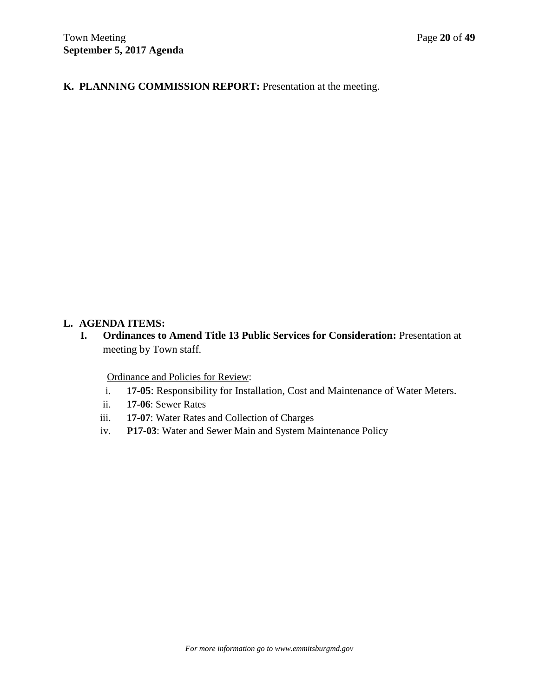**K. PLANNING COMMISSION REPORT:** Presentation at the meeting.

# **L. AGENDA ITEMS:**

**I. Ordinances to Amend Title 13 Public Services for Consideration:** Presentation at meeting by Town staff.

Ordinance and Policies for Review:

- i. **17-05**: Responsibility for Installation, Cost and Maintenance of Water Meters.
- ii. **17-06**: Sewer Rates
- iii. **17-07**: Water Rates and Collection of Charges
- iv. **P17-03**: Water and Sewer Main and System Maintenance Policy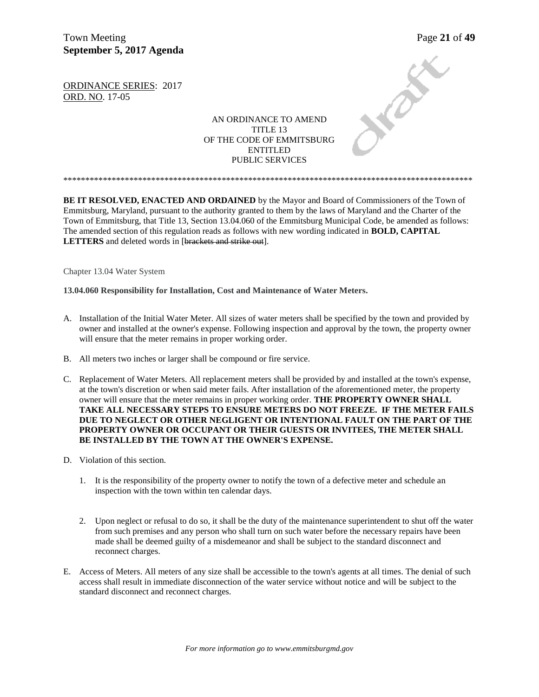Town Meeting Page 21 of 49 **September 5, 2017 Agenda** 

Jennes

ORDINANCE SERIES: 2017 ORD. NO. 17-05

> AN ORDINANCE TO AMEND TITLE 13 OF THE CODE OF EMMITSBURG ENTITLED PUBLIC SERVICES

**BE IT RESOLVED, ENACTED AND ORDAINED** by the Mayor and Board of Commissioners of the Town of Emmitsburg, Maryland, pursuant to the authority granted to them by the laws of Maryland and the Charter of the Town of Emmitsburg, that Title 13, Section 13.04.060 of the Emmitsburg Municipal Code, be amended as follows: The amended section of this regulation reads as follows with new wording indicated in **BOLD, CAPITAL** LETTERS and deleted words in [brackets and strike out].

\*\*\*\*\*\*\*\*\*\*\*\*\*\*\*\*\*\*\*\*\*\*\*\*\*\*\*\*\*\*\*\*\*\*\*\*\*\*\*\*\*\*\*\*\*\*\*\*\*\*\*\*\*\*\*\*\*\*\*\*\*\*\*\*\*\*\*\*\*\*\*\*\*\*\*\*\*\*\*\*\*\*\*\*\*\*\*\*\*\*\*\*\*

Chapter 13.04 Water System

**13.04.060 Responsibility for Installation, Cost and Maintenance of Water Meters.**

- A. Installation of the Initial Water Meter. All sizes of water meters shall be specified by the town and provided by owner and installed at the owner's expense. Following inspection and approval by the town, the property owner will ensure that the meter remains in proper working order.
- B. All meters two inches or larger shall be compound or fire service.
- C. Replacement of Water Meters. All replacement meters shall be provided by and installed at the town's expense, at the town's discretion or when said meter fails. After installation of the aforementioned meter, the property owner will ensure that the meter remains in proper working order. **THE PROPERTY OWNER SHALL TAKE ALL NECESSARY STEPS TO ENSURE METERS DO NOT FREEZE. IF THE METER FAILS DUE TO NEGLECT OR OTHER NEGLIGENT OR INTENTIONAL FAULT ON THE PART OF THE PROPERTY OWNER OR OCCUPANT OR THEIR GUESTS OR INVITEES, THE METER SHALL BE INSTALLED BY THE TOWN AT THE OWNER'S EXPENSE.**
- D. Violation of this section.
	- 1. It is the responsibility of the property owner to notify the town of a defective meter and schedule an inspection with the town within ten calendar days.
	- 2. Upon neglect or refusal to do so, it shall be the duty of the maintenance superintendent to shut off the water from such premises and any person who shall turn on such water before the necessary repairs have been made shall be deemed guilty of a misdemeanor and shall be subject to the standard disconnect and reconnect charges.
- E. Access of Meters. All meters of any size shall be accessible to the town's agents at all times. The denial of such access shall result in immediate disconnection of the water service without notice and will be subject to the standard disconnect and reconnect charges.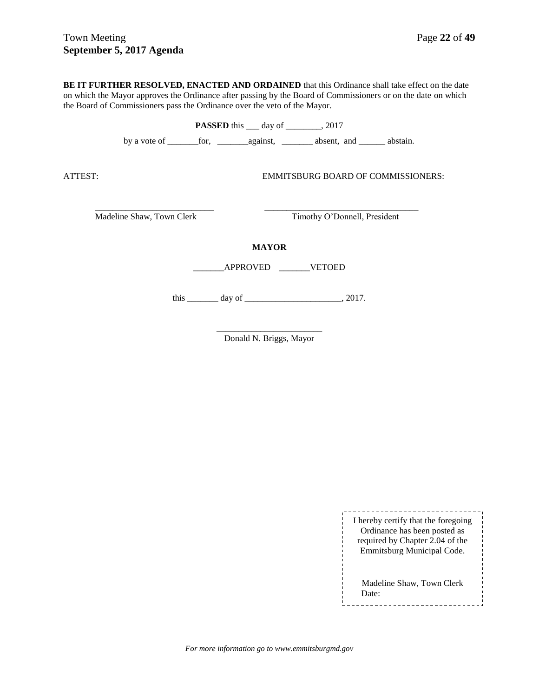**BE IT FURTHER RESOLVED, ENACTED AND ORDAINED** that this Ordinance shall take effect on the date on which the Mayor approves the Ordinance after passing by the Board of Commissioners or on the date on which the Board of Commissioners pass the Ordinance over the veto of the Mayor.

**PASSED** this \_\_\_ day of \_\_\_\_\_\_\_, 2017 by a vote of \_\_\_\_\_\_\_for, \_\_\_\_\_\_\_against, \_\_\_\_\_\_\_ absent, and \_\_\_\_\_\_ abstain. ATTEST: EMMITSBURG BOARD OF COMMISSIONERS: \_\_\_\_\_\_\_\_\_\_\_\_\_\_\_\_\_\_\_\_\_\_\_\_\_\_\_ \_\_\_\_\_\_\_\_\_\_\_\_\_\_\_\_\_\_\_\_\_\_\_\_\_\_\_\_\_\_\_\_\_\_\_ Madeline Shaw, Town Clerk Timothy O'Donnell, President **MAYOR** \_\_\_\_\_\_\_APPROVED \_\_\_\_\_\_\_VETOED this \_\_\_\_\_\_\_\_\_ day of \_\_\_\_\_\_\_\_\_\_\_\_\_\_\_\_\_\_\_\_\_\_\_\_\_\_\_\_, 2017.

> \_\_\_\_\_\_\_\_\_\_\_\_\_\_\_\_\_\_\_\_\_\_\_\_ Donald N. Briggs, Mayor

> > \_\_\_\_\_\_\_\_\_\_\_\_\_\_\_\_\_\_\_\_\_\_\_\_\_\_\_\_\_\_\_\_ I hereby certify that the foregoing Ordinance has been posted as required by Chapter 2.04 of the Emmitsburg Municipal Code.

Madeline Shaw, Town Clerk Date:

*For more information go to www.emmitsburgmd.gov*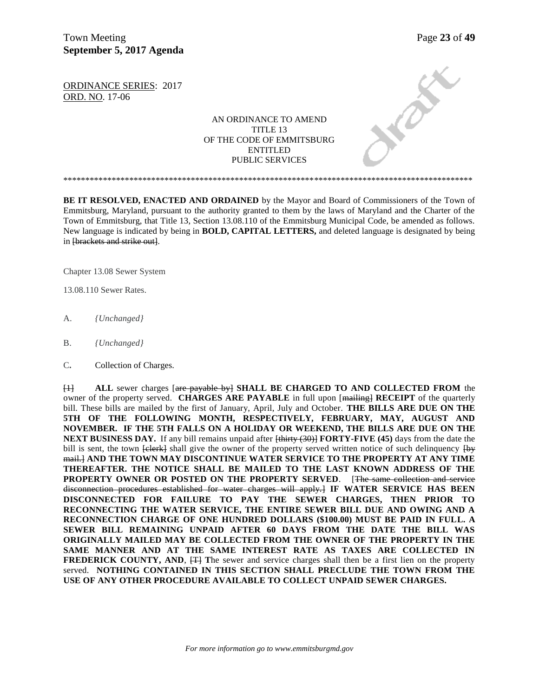Town Meeting Page 23 of 49 **September 5, 2017 Agenda** 

Jennes

ORDINANCE SERIES: 2017 ORD. NO. 17-06

> AN ORDINANCE TO AMEND TITLE 13 OF THE CODE OF EMMITSBURG ENTITLED PUBLIC SERVICES

**BE IT RESOLVED, ENACTED AND ORDAINED** by the Mayor and Board of Commissioners of the Town of Emmitsburg, Maryland, pursuant to the authority granted to them by the laws of Maryland and the Charter of the Town of Emmitsburg, that Title 13, Section 13.08.110 of the Emmitsburg Municipal Code, be amended as follows. New language is indicated by being in **BOLD, CAPITAL LETTERS,** and deleted language is designated by being in [brackets and strike out].

\*\*\*\*\*\*\*\*\*\*\*\*\*\*\*\*\*\*\*\*\*\*\*\*\*\*\*\*\*\*\*\*\*\*\*\*\*\*\*\*\*\*\*\*\*\*\*\*\*\*\*\*\*\*\*\*\*\*\*\*\*\*\*\*\*\*\*\*\*\*\*\*\*\*\*\*\*\*\*\*\*\*\*\*\*\*\*\*\*\*\*\*\*

Chapter 13.08 Sewer System

13.08.110 Sewer Rates.

- A. *{Unchanged}*
- B. *{Unchanged}*
- C**.** Collection of Charges.

[1] **ALL** sewer charges [are payable by] **SHALL BE CHARGED TO AND COLLECTED FROM** the owner of the property served. **CHARGES ARE PAYABLE** in full upon [mailing] **RECEIPT** of the quarterly bill. These bills are mailed by the first of January, April, July and October. **THE BILLS ARE DUE ON THE 5TH OF THE FOLLOWING MONTH, RESPECTIVELY, FEBRUARY, MAY, AUGUST AND NOVEMBER. IF THE 5TH FALLS ON A HOLIDAY OR WEEKEND, THE BILLS ARE DUE ON THE NEXT BUSINESS DAY.** If any bill remains unpaid after  $\frac{1}{2}$  **FORTY-FIVE (45)** days from the date the bill is sent, the town  $\overline{f\text{eleck}}$  shall give the owner of the property served written notice of such delinquency  $\overline{f\text{be}}$ mail.] **AND THE TOWN MAY DISCONTINUE WATER SERVICE TO THE PROPERTY AT ANY TIME THEREAFTER. THE NOTICE SHALL BE MAILED TO THE LAST KNOWN ADDRESS OF THE PROPERTY OWNER OR POSTED ON THE PROPERTY SERVED.** [The same collection and service disconnection procedures established for water charges will apply.] **IF WATER SERVICE HAS BEEN DISCONNECTED FOR FAILURE TO PAY THE SEWER CHARGES, THEN PRIOR TO RECONNECTING THE WATER SERVICE, THE ENTIRE SEWER BILL DUE AND OWING AND A RECONNECTION CHARGE OF ONE HUNDRED DOLLARS (\$100.00) MUST BE PAID IN FULL. A SEWER BILL REMAINING UNPAID AFTER 60 DAYS FROM THE DATE THE BILL WAS ORIGINALLY MAILED MAY BE COLLECTED FROM THE OWNER OF THE PROPERTY IN THE SAME MANNER AND AT THE SAME INTEREST RATE AS TAXES ARE COLLECTED IN FREDERICK COUNTY, AND,**  $f$ **<sup>T</sup>** The sewer and service charges shall then be a first lien on the property served. **NOTHING CONTAINED IN THIS SECTION SHALL PRECLUDE THE TOWN FROM THE USE OF ANY OTHER PROCEDURE AVAILABLE TO COLLECT UNPAID SEWER CHARGES.**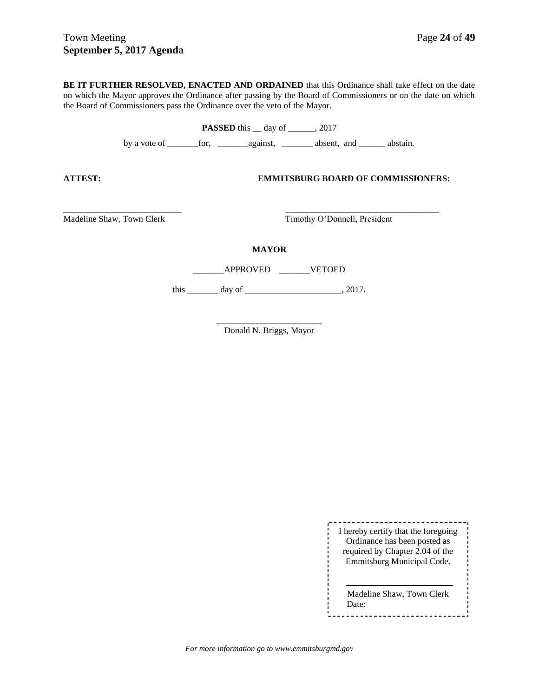**BE IT FURTHER RESOLVED, ENACTED AND ORDAINED** that this Ordinance shall take effect on the date on which the Mayor approves the Ordinance after passing by the Board of Commissioners or on the date on which the Board of Commissioners pass the Ordinance over the veto of the Mayor.

**PASSED** this \_\_ day of \_\_\_\_\_\_, 2017

by a vote of \_\_\_\_\_\_\_for, \_\_\_\_\_\_\_against, \_\_\_\_\_\_\_ absent, and \_\_\_\_\_\_ abstain.

**ATTEST: EMMITSBURG BOARD OF COMMISSIONERS:**

Madeline Shaw, Town Clerk Timothy O'Donnell, President

**MAYOR**

\_\_\_\_\_\_\_\_\_\_\_\_\_\_\_\_\_\_\_\_\_\_\_\_\_\_\_ \_\_\_\_\_\_\_\_\_\_\_\_\_\_\_\_\_\_\_\_\_\_\_\_\_\_\_\_\_\_\_\_\_\_\_

\_\_\_\_\_\_\_APPROVED \_\_\_\_\_\_\_VETOED

this \_\_\_\_\_\_\_\_ day of \_\_\_\_\_\_\_\_\_\_\_\_\_\_\_\_\_\_\_\_\_\_\_\_\_, 2017.

\_\_\_\_\_\_\_\_\_\_\_\_\_\_\_\_\_\_\_\_\_\_\_\_ Donald N. Briggs, Mayor

> ----------------------------I hereby certify that the foregoing Ordinance has been posted as required by Chapter 2.04 of the Emmitsburg Municipal Code.

> Madeline Shaw, Town Clerk Date:

*For more information go to www.emmitsburgmd.gov*

L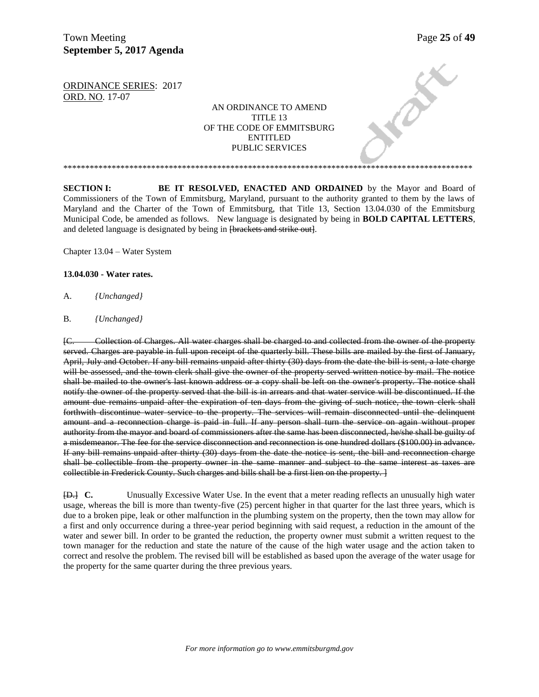**PARTICIPAL** 

ORDINANCE SERIES: 2017 ORD. NO. 17-07

## AN ORDINANCE TO AMEND TITLE 13 OF THE CODE OF EMMITSBURG ENTITLED PUBLIC SERVICES

\*\*\*\*\*\*\*\*\*\*\*\*\*\*\*\*\*\*\*\*\*\*\*\*\*\*\*\*\*\*\*\*\*\*\*\*\*\*\*\*\*\*\*\*\*\*\*\*\*\*\*\*\*\*\*\*\*\*\*\*\*\*\*\*\*\*\*\*\*\*\*\*\*\*\*\*\*\*\*\*\*\*\*\*\*\*\*\*\*\*\*\*\*

**SECTION I: BE IT RESOLVED, ENACTED AND ORDAINED** by the Mayor and Board of Commissioners of the Town of Emmitsburg, Maryland, pursuant to the authority granted to them by the laws of Maryland and the Charter of the Town of Emmitsburg, that Title 13, Section 13.04.030 of the Emmitsburg Municipal Code, be amended as follows. New language is designated by being in **BOLD CAPITAL LETTERS**, and deleted language is designated by being in <del>[brackets and strike out]</del>.

Chapter 13.04 – Water System

#### **13.04.030 - Water rates.**

- A. *{Unchanged}*
- B*. {Unchanged}*

[C. Collection of Charges. All water charges shall be charged to and collected from the owner of the property served. Charges are payable in full upon receipt of the quarterly bill. These bills are mailed by the first of January, April, July and October. If any bill remains unpaid after thirty (30) days from the date the bill is sent, a late charge will be assessed, and the town clerk shall give the owner of the property served written notice by mail. The notice shall be mailed to the owner's last known address or a copy shall be left on the owner's property. The notice shall notify the owner of the property served that the bill is in arrears and that water service will be discontinued. If the amount due remains unpaid after the expiration of ten days from the giving of such notice, the town clerk shall forthwith discontinue water service to the property. The services will remain disconnected until the delinquent amount and a reconnection charge is paid in full. If any person shall turn the service on again without proper authority from the mayor and board of commissioners after the same has been disconnected, he/she shall be guilty of a misdemeanor. The fee for the service disconnection and reconnection is one hundred dollars (\$100.00) in advance. If any bill remains unpaid after thirty (30) days from the date the notice is sent, the bill and reconnection charge shall be collectible from the property owner in the same manner and subject to the same interest as taxes are collectible in Frederick County. Such charges and bills shall be a first lien on the property. ]

[D.] **C.** Unusually Excessive Water Use. In the event that a meter reading reflects an unusually high water usage, whereas the bill is more than twenty-five (25) percent higher in that quarter for the last three years, which is due to a broken pipe, leak or other malfunction in the plumbing system on the property, then the town may allow for a first and only occurrence during a three-year period beginning with said request, a reduction in the amount of the water and sewer bill. In order to be granted the reduction, the property owner must submit a written request to the town manager for the reduction and state the nature of the cause of the high water usage and the action taken to correct and resolve the problem. The revised bill will be established as based upon the average of the water usage for the property for the same quarter during the three previous years.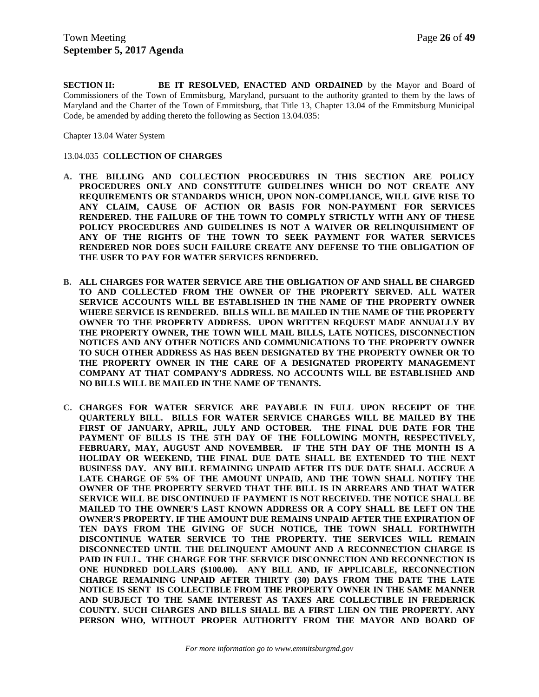**SECTION II: BE IT RESOLVED, ENACTED AND ORDAINED** by the Mayor and Board of Commissioners of the Town of Emmitsburg, Maryland, pursuant to the authority granted to them by the laws of Maryland and the Charter of the Town of Emmitsburg, that Title 13, Chapter 13.04 of the Emmitsburg Municipal Code, be amended by adding thereto the following as Section 13.04.035:

Chapter 13.04 Water System

#### 13.04.035 C**OLLECTION OF CHARGES**

- **A. THE BILLING AND COLLECTION PROCEDURES IN THIS SECTION ARE POLICY PROCEDURES ONLY AND CONSTITUTE GUIDELINES WHICH DO NOT CREATE ANY REQUIREMENTS OR STANDARDS WHICH, UPON NON-COMPLIANCE, WILL GIVE RISE TO ANY CLAIM, CAUSE OF ACTION OR BASIS FOR NON-PAYMENT FOR SERVICES RENDERED. THE FAILURE OF THE TOWN TO COMPLY STRICTLY WITH ANY OF THESE POLICY PROCEDURES AND GUIDELINES IS NOT A WAIVER OR RELINQUISHMENT OF ANY OF THE RIGHTS OF THE TOWN TO SEEK PAYMENT FOR WATER SERVICES RENDERED NOR DOES SUCH FAILURE CREATE ANY DEFENSE TO THE OBLIGATION OF THE USER TO PAY FOR WATER SERVICES RENDERED.**
- **B. ALL CHARGES FOR WATER SERVICE ARE THE OBLIGATION OF AND SHALL BE CHARGED TO AND COLLECTED FROM THE OWNER OF THE PROPERTY SERVED. ALL WATER SERVICE ACCOUNTS WILL BE ESTABLISHED IN THE NAME OF THE PROPERTY OWNER WHERE SERVICE IS RENDERED. BILLS WILL BE MAILED IN THE NAME OF THE PROPERTY OWNER TO THE PROPERTY ADDRESS. UPON WRITTEN REQUEST MADE ANNUALLY BY THE PROPERTY OWNER, THE TOWN WILL MAIL BILLS, LATE NOTICES, DISCONNECTION NOTICES AND ANY OTHER NOTICES AND COMMUNICATIONS TO THE PROPERTY OWNER TO SUCH OTHER ADDRESS AS HAS BEEN DESIGNATED BY THE PROPERTY OWNER OR TO THE PROPERTY OWNER IN THE CARE OF A DESIGNATED PROPERTY MANAGEMENT COMPANY AT THAT COMPANY'S ADDRESS. NO ACCOUNTS WILL BE ESTABLISHED AND NO BILLS WILL BE MAILED IN THE NAME OF TENANTS.**
- **C. CHARGES FOR WATER SERVICE ARE PAYABLE IN FULL UPON RECEIPT OF THE QUARTERLY BILL. BILLS FOR WATER SERVICE CHARGES WILL BE MAILED BY THE FIRST OF JANUARY, APRIL, JULY AND OCTOBER. THE FINAL DUE DATE FOR THE PAYMENT OF BILLS IS THE 5TH DAY OF THE FOLLOWING MONTH, RESPECTIVELY, FEBRUARY, MAY, AUGUST AND NOVEMBER. IF THE 5TH DAY OF THE MONTH IS A HOLIDAY OR WEEKEND, THE FINAL DUE DATE SHALL BE EXTENDED TO THE NEXT BUSINESS DAY. ANY BILL REMAINING UNPAID AFTER ITS DUE DATE SHALL ACCRUE A LATE CHARGE OF 5% OF THE AMOUNT UNPAID, AND THE TOWN SHALL NOTIFY THE OWNER OF THE PROPERTY SERVED THAT THE BILL IS IN ARREARS AND THAT WATER SERVICE WILL BE DISCONTINUED IF PAYMENT IS NOT RECEIVED. THE NOTICE SHALL BE MAILED TO THE OWNER'S LAST KNOWN ADDRESS OR A COPY SHALL BE LEFT ON THE OWNER'S PROPERTY. IF THE AMOUNT DUE REMAINS UNPAID AFTER THE EXPIRATION OF TEN DAYS FROM THE GIVING OF SUCH NOTICE, THE TOWN SHALL FORTHWITH DISCONTINUE WATER SERVICE TO THE PROPERTY. THE SERVICES WILL REMAIN DISCONNECTED UNTIL THE DELINQUENT AMOUNT AND A RECONNECTION CHARGE IS PAID IN FULL. THE CHARGE FOR THE SERVICE DISCONNECTION AND RECONNECTION IS ONE HUNDRED DOLLARS (\$100.00). ANY BILL AND, IF APPLICABLE, RECONNECTION CHARGE REMAINING UNPAID AFTER THIRTY (30) DAYS FROM THE DATE THE LATE NOTICE IS SENT IS COLLECTIBLE FROM THE PROPERTY OWNER IN THE SAME MANNER AND SUBJECT TO THE SAME INTEREST AS TAXES ARE COLLECTIBLE IN FREDERICK COUNTY. SUCH CHARGES AND BILLS SHALL BE A FIRST LIEN ON THE PROPERTY. ANY PERSON WHO, WITHOUT PROPER AUTHORITY FROM THE MAYOR AND BOARD OF**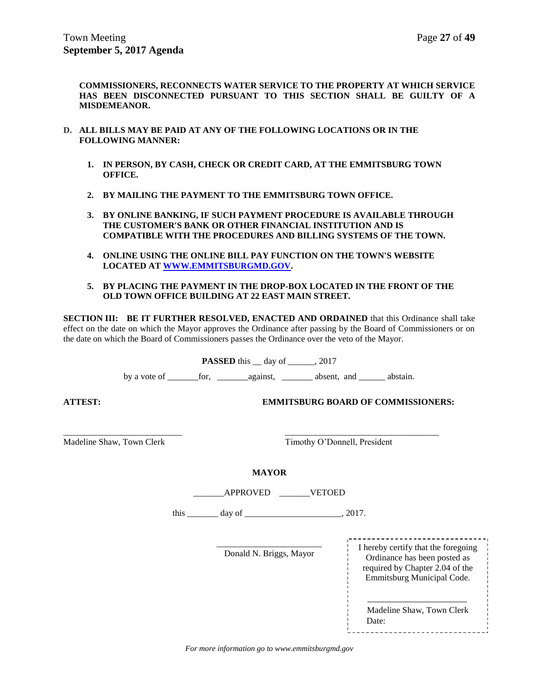**COMMISSIONERS, RECONNECTS WATER SERVICE TO THE PROPERTY AT WHICH SERVICE HAS BEEN DISCONNECTED PURSUANT TO THIS SECTION SHALL BE GUILTY OF A MISDEMEANOR.**

- **D. ALL BILLS MAY BE PAID AT ANY OF THE FOLLOWING LOCATIONS OR IN THE FOLLOWING MANNER:**
	- **1. IN PERSON, BY CASH, CHECK OR CREDIT CARD, AT THE EMMITSBURG TOWN OFFICE.**
	- **2. BY MAILING THE PAYMENT TO THE EMMITSBURG TOWN OFFICE.**
	- **3. BY ONLINE BANKING, IF SUCH PAYMENT PROCEDURE IS AVAILABLE THROUGH THE CUSTOMER'S BANK OR OTHER FINANCIAL INSTITUTION AND IS COMPATIBLE WITH THE PROCEDURES AND BILLING SYSTEMS OF THE TOWN.**
	- **4. ONLINE USING THE ONLINE BILL PAY FUNCTION ON THE TOWN'S WEBSITE LOCATED AT [WWW.EMMITSBURGMD.GOV.](http://www.emmitsburgmd.gov/)**
	- **5. BY PLACING THE PAYMENT IN THE DROP-BOX LOCATED IN THE FRONT OF THE OLD TOWN OFFICE BUILDING AT 22 EAST MAIN STREET.**

**SECTION III: BE IT FURTHER RESOLVED, ENACTED AND ORDAINED** that this Ordinance shall take effect on the date on which the Mayor approves the Ordinance after passing by the Board of Commissioners or on the date on which the Board of Commissioners passes the Ordinance over the veto of the Mayor.

**PASSED** this day of .2017

by a vote of \_\_\_\_\_\_\_for, \_\_\_\_\_\_\_against, \_\_\_\_\_\_\_ absent, and \_\_\_\_\_\_ abstain.

**ATTEST: EMMITSBURG BOARD OF COMMISSIONERS:**

\_\_\_\_\_\_\_\_\_\_\_\_\_\_\_\_\_\_\_\_\_\_\_\_\_\_\_ \_\_\_\_\_\_\_\_\_\_\_\_\_\_\_\_\_\_\_\_\_\_\_\_\_\_\_\_\_\_\_\_\_\_\_ Madeline Shaw, Town Clerk Timothy O'Donnell, President

**MAYOR**

| <b>APPROVED</b> | <b>VETOED</b> |
|-----------------|---------------|
|                 |               |

this \_\_\_\_\_\_\_ day of \_\_\_\_\_\_\_\_\_\_\_\_\_\_\_\_\_\_\_\_\_\_, 2017.

Donald N. Briggs, Mayor I hereby certify that the foregoing<br>
Ordinance has been posted as required by Chapter 2.04 of the Emmitsburg Municipal Code.

Madeline Shaw, Town Clerk Date: 

*For more information go to www.emmitsburgmd.gov*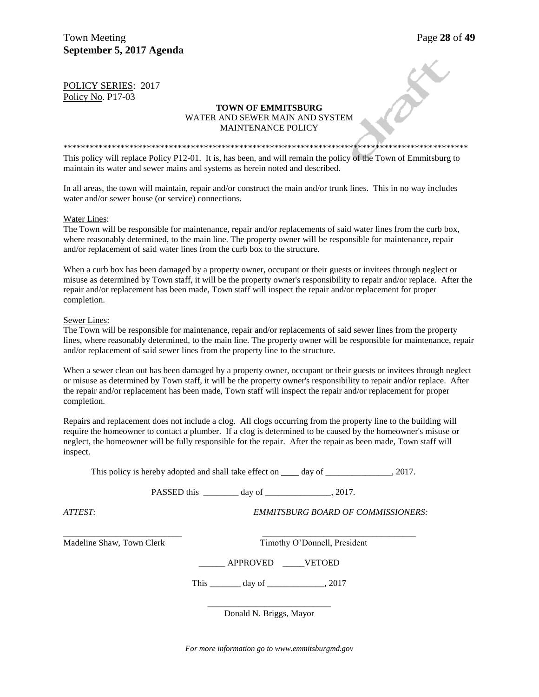## POLICY SERIES: 2017 Policy No. P17-03

#### **TOWN OF EMMITSBURG** WATER AND SEWER MAIN AND SYSTEM MAINTENANCE POLICY

\*\*\*\*\*\*\*\*\*\*\*\*\*\*\*\*\*\*\*\*\*\*\*\*\*\*\*\*\*\*\*\*\*\*\*\*\*\*\*\*\*\*\*\*\*\*\*\*\*\*\*\*\*\*\*\*\*\*\*\*\*\*\*\*\*\*\*\*\*\*\*\*\*\*\*\*\*\*\*\*\*\*\*\*\*\*\*\*\*\*\*\* This policy will replace Policy P12-01. It is, has been, and will remain the policy of the Town of Emmitsburg to maintain its water and sewer mains and systems as herein noted and described.

In all areas, the town will maintain, repair and/or construct the main and/or trunk lines. This in no way includes water and/or sewer house (or service) connections.

#### Water Lines:

The Town will be responsible for maintenance, repair and/or replacements of said water lines from the curb box, where reasonably determined, to the main line. The property owner will be responsible for maintenance, repair and/or replacement of said water lines from the curb box to the structure.

When a curb box has been damaged by a property owner, occupant or their guests or invitees through neglect or misuse as determined by Town staff, it will be the property owner's responsibility to repair and/or replace. After the repair and/or replacement has been made, Town staff will inspect the repair and/or replacement for proper completion.

## Sewer Lines:

The Town will be responsible for maintenance, repair and/or replacements of said sewer lines from the property lines, where reasonably determined, to the main line. The property owner will be responsible for maintenance, repair and/or replacement of said sewer lines from the property line to the structure.

When a sewer clean out has been damaged by a property owner, occupant or their guests or invitees through neglect or misuse as determined by Town staff, it will be the property owner's responsibility to repair and/or replace. After the repair and/or replacement has been made, Town staff will inspect the repair and/or replacement for proper completion.

Repairs and replacement does not include a clog. All clogs occurring from the property line to the building will require the homeowner to contact a plumber. If a clog is determined to be caused by the homeowner's misuse or neglect, the homeowner will be fully responsible for the repair. After the repair as been made, Town staff will inspect.

This policy is hereby adopted and shall take effect on **day of**  $\qquad \qquad$  . 2017.

PASSED this day of  $\qquad \qquad$  2017.

\_\_\_\_\_\_\_\_\_\_\_\_\_\_\_\_\_\_\_\_\_\_\_\_\_\_\_ \_\_\_\_\_\_\_\_\_\_\_\_\_\_\_\_\_\_\_\_\_\_\_\_\_\_\_\_\_\_\_\_\_\_\_

*ATTEST: EMMITSBURG BOARD OF COMMISSIONERS:*

Madeline Shaw, Town Clerk Timothy O'Donnell, President

\_\_\_\_\_\_ APPROVED \_\_\_\_\_VETOED

This \_\_\_\_\_\_\_\_\_\_ day of \_\_\_\_\_\_\_\_\_\_\_\_\_\_\_, 2017

\_\_\_\_\_\_\_\_\_\_\_\_\_\_\_\_\_\_\_\_\_\_\_\_\_\_\_\_ Donald N. Briggs, Mayor

*For more information go to www.emmitsburgmd.gov*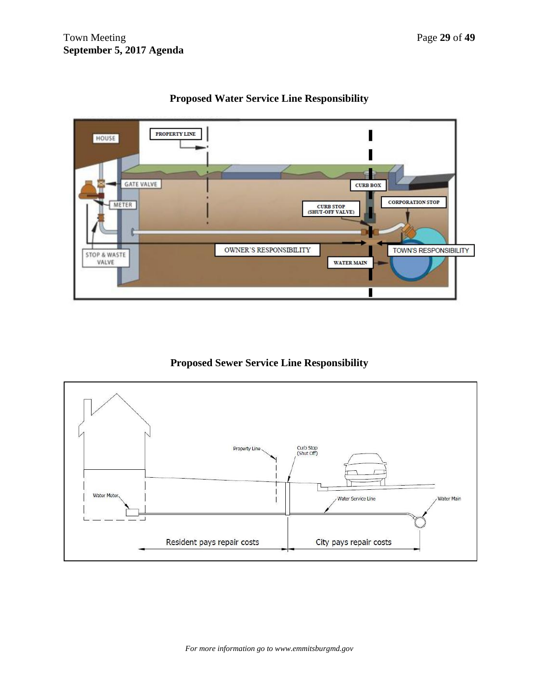

# **Proposed Water Service Line Responsibility**

**Proposed Sewer Service Line Responsibility**

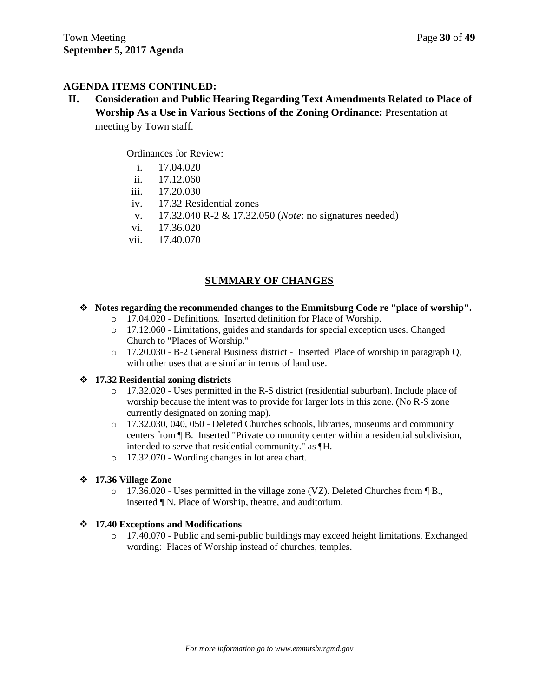# **AGENDA ITEMS CONTINUED:**

**II. Consideration and Public Hearing Regarding Text Amendments Related to Place of Worship As a Use in Various Sections of the Zoning Ordinance:** Presentation at meeting by Town staff.

# Ordinances for Review:

- i. 17.04.020
- ii. 17.12.060
- iii. 17.20.030
- iv. 17.32 Residential zones
- v. 17.32.040 R-2 & 17.32.050 (*Note*: no signatures needed)
- vi. 17.36.020
- vii. 17.40.070

# **SUMMARY OF CHANGES**

## **Notes regarding the recommended changes to the Emmitsburg Code re "place of worship".**

- o 17.04.020 Definitions. Inserted definition for Place of Worship.
- o 17.12.060 Limitations, guides and standards for special exception uses. Changed Church to "Places of Worship."
- o 17.20.030 B-2 General Business district Inserted Place of worship in paragraph Q, with other uses that are similar in terms of land use.

## **17.32 Residential zoning districts**

- o 17.32.020 Uses permitted in the R-S district (residential suburban). Include place of worship because the intent was to provide for larger lots in this zone. (No R-S zone currently designated on zoning map).
- o 17.32.030, 040, 050 Deleted Churches schools, libraries, museums and community centers from ¶ B. Inserted "Private community center within a residential subdivision, intended to serve that residential community." as ¶H.
- o 17.32.070 Wording changes in lot area chart.

## **17.36 Village Zone**

 $\circ$  17.36.020 - Uses permitted in the village zone (VZ). Deleted Churches from  $\P B$ . inserted ¶ N. Place of Worship, theatre, and auditorium.

# **17.40 Exceptions and Modifications**

o 17.40.070 - Public and semi-public buildings may exceed height limitations. Exchanged wording: Places of Worship instead of churches, temples.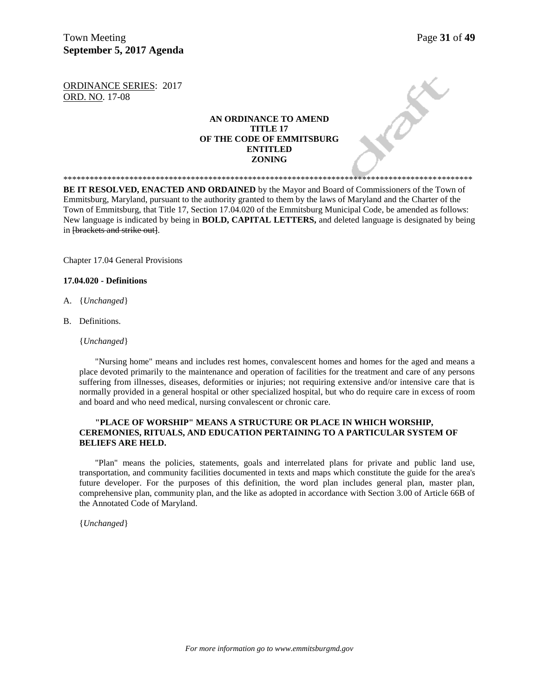Town Meeting Page 31 of 49 **September 5, 2017 Agenda** 

ax

ORDINANCE SERIES: 2017 ORD. NO. 17-08

## **AN ORDINANCE TO AMEND TITLE 17 OF THE CODE OF EMMITSBURG ENTITLED ZONING**

**BE IT RESOLVED, ENACTED AND ORDAINED** by the Mayor and Board of Commissioners of the Town of Emmitsburg, Maryland, pursuant to the authority granted to them by the laws of Maryland and the Charter of the Town of Emmitsburg, that Title 17, Section 17.04.020 of the Emmitsburg Municipal Code, be amended as follows: New language is indicated by being in **BOLD, CAPITAL LETTERS,** and deleted language is designated by being in [brackets and strike out].

\*\*\*\*\*\*\*\*\*\*\*\*\*\*\*\*\*\*\*\*\*\*\*\*\*\*\*\*\*\*\*\*\*\*\*\*\*\*\*\*\*\*\*\*\*\*\*\*\*\*\*\*\*\*\*\*\*\*\*\*\*\*\*\*\*\*\*\*\*\*\*\*\*\*\*\*\*\*\*\*\*\*\*\*\*\*\*\*\*\*\*\*\*

Chapter 17.04 General Provisions

#### **17.04.020 - Definitions**

- A. {*Unchanged*}
- B. Definitions.

{*Unchanged*}

"Nursing home" means and includes rest homes, convalescent homes and homes for the aged and means a place devoted primarily to the maintenance and operation of facilities for the treatment and care of any persons suffering from illnesses, diseases, deformities or injuries; not requiring extensive and/or intensive care that is normally provided in a general hospital or other specialized hospital, but who do require care in excess of room and board and who need medical, nursing convalescent or chronic care.

#### **"PLACE OF WORSHIP" MEANS A STRUCTURE OR PLACE IN WHICH WORSHIP, CEREMONIES, RITUALS, AND EDUCATION PERTAINING TO A PARTICULAR SYSTEM OF BELIEFS ARE HELD.**

"Plan" means the policies, statements, goals and interrelated plans for private and public land use, transportation, and community facilities documented in texts and maps which constitute the guide for the area's future developer. For the purposes of this definition, the word plan includes general plan, master plan, comprehensive plan, community plan, and the like as adopted in accordance with Section 3.00 of Article 66B of the Annotated Code of Maryland.

{*Unchanged*}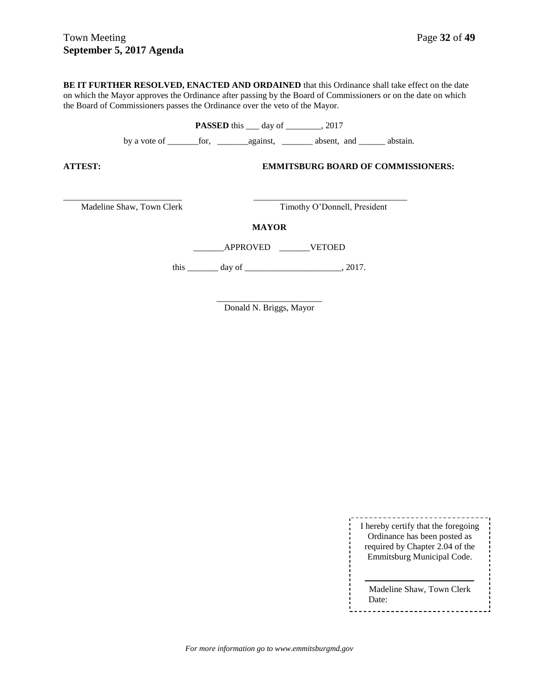**BE IT FURTHER RESOLVED, ENACTED AND ORDAINED** that this Ordinance shall take effect on the date on which the Mayor approves the Ordinance after passing by the Board of Commissioners or on the date on which the Board of Commissioners passes the Ordinance over the veto of the Mayor.

**PASSED** this \_\_\_ day of \_\_\_\_\_\_\_, 2017

by a vote of \_\_\_\_\_\_\_for, \_\_\_\_\_\_\_against, \_\_\_\_\_\_\_ absent, and \_\_\_\_\_\_ abstain.

**ATTEST: EMMITSBURG BOARD OF COMMISSIONERS:**

Madeline Shaw, Town Clerk Timothy O'Donnell, President

**MAYOR**

\_\_\_\_\_\_\_\_\_\_\_\_\_\_\_\_\_\_\_\_\_\_\_\_\_\_\_ \_\_\_\_\_\_\_\_\_\_\_\_\_\_\_\_\_\_\_\_\_\_\_\_\_\_\_\_\_\_\_\_\_\_\_

\_\_\_\_\_\_\_APPROVED \_\_\_\_\_\_\_VETOED

this \_\_\_\_\_\_\_\_\_ day of \_\_\_\_\_\_\_\_\_\_\_\_\_\_\_\_\_\_\_\_\_\_\_\_\_\_\_\_, 2017.

\_\_\_\_\_\_\_\_\_\_\_\_\_\_\_\_\_\_\_\_\_\_\_\_ Donald N. Briggs, Mayor

> I hereby certify that the foregoing Ordinance has been posted as required by Chapter 2.04 of the Emmitsburg Municipal Code.

Madeline Shaw, Town Clerk Date:-----------------------------

*For more information go to www.emmitsburgmd.gov*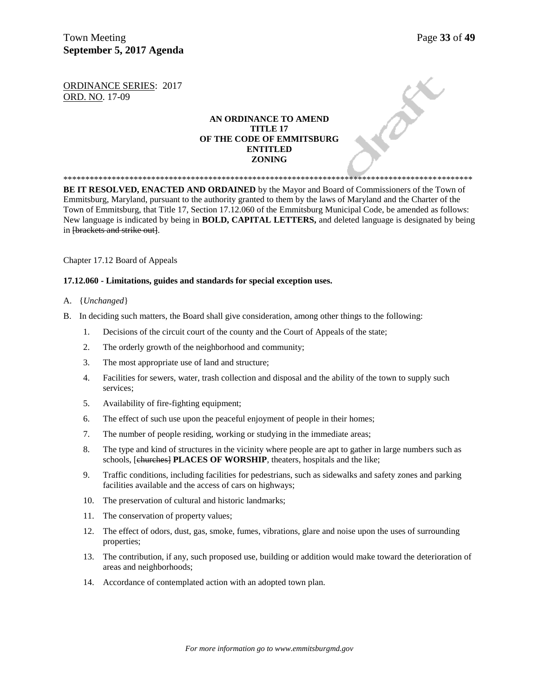Town Meeting Page 33 of 49 **September 5, 2017 Agenda** 

**PAY** 

ORDINANCE SERIES: 2017 ORD. NO. 17-09

## **AN ORDINANCE TO AMEND TITLE 17 OF THE CODE OF EMMITSBURG ENTITLED ZONING**

**BE IT RESOLVED, ENACTED AND ORDAINED** by the Mayor and Board of Commissioners of the Town of Emmitsburg, Maryland, pursuant to the authority granted to them by the laws of Maryland and the Charter of the Town of Emmitsburg, that Title 17, Section 17.12.060 of the Emmitsburg Municipal Code, be amended as follows: New language is indicated by being in **BOLD, CAPITAL LETTERS,** and deleted language is designated by being in [brackets and strike out].

\*\*\*\*\*\*\*\*\*\*\*\*\*\*\*\*\*\*\*\*\*\*\*\*\*\*\*\*\*\*\*\*\*\*\*\*\*\*\*\*\*\*\*\*\*\*\*\*\*\*\*\*\*\*\*\*\*\*\*\*\*\*\*\*\*\*\*\*\*\*\*\*\*\*\*\*\*\*\*\*\*\*\*\*\*\*\*\*\*\*\*\*\*

Chapter 17.12 Board of Appeals

#### **17.12.060 - Limitations, guides and standards for special exception uses.**

- A. {*Unchanged*}
- B. In deciding such matters, the Board shall give consideration, among other things to the following:
	- 1. Decisions of the circuit court of the county and the Court of Appeals of the state;
	- 2. The orderly growth of the neighborhood and community;
	- 3. The most appropriate use of land and structure;
	- 4. Facilities for sewers, water, trash collection and disposal and the ability of the town to supply such services;
	- 5. Availability of fire-fighting equipment;
	- 6. The effect of such use upon the peaceful enjoyment of people in their homes;
	- 7. The number of people residing, working or studying in the immediate areas;
	- 8. The type and kind of structures in the vicinity where people are apt to gather in large numbers such as schools, [churches] **PLACES OF WORSHIP**, theaters, hospitals and the like;
	- 9. Traffic conditions, including facilities for pedestrians, such as sidewalks and safety zones and parking facilities available and the access of cars on highways;
	- 10. The preservation of cultural and historic landmarks;
	- 11. The conservation of property values;
	- 12. The effect of odors, dust, gas, smoke, fumes, vibrations, glare and noise upon the uses of surrounding properties;
	- 13. The contribution, if any, such proposed use, building or addition would make toward the deterioration of areas and neighborhoods;
	- 14. Accordance of contemplated action with an adopted town plan.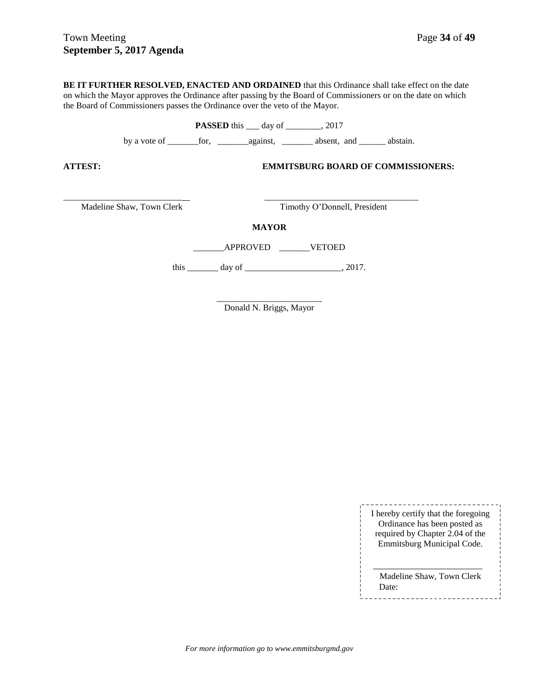**BE IT FURTHER RESOLVED, ENACTED AND ORDAINED** that this Ordinance shall take effect on the date on which the Mayor approves the Ordinance after passing by the Board of Commissioners or on the date on which the Board of Commissioners passes the Ordinance over the veto of the Mayor.

**PASSED** this \_\_\_ day of \_\_\_\_\_\_\_, 2017

by a vote of \_\_\_\_\_\_\_for, \_\_\_\_\_\_\_against, \_\_\_\_\_\_\_ absent, and \_\_\_\_\_\_ abstain.

**ATTEST: EMMITSBURG BOARD OF COMMISSIONERS:**

Madeline Shaw, Town Clerk Timothy O'Donnell, President

**MAYOR**

\_\_\_\_\_\_\_\_\_\_\_\_\_\_\_\_\_\_\_\_\_\_\_\_\_\_\_ \_\_\_\_\_\_\_\_\_\_\_\_\_\_\_\_\_\_\_\_\_\_\_\_\_\_\_\_\_\_\_\_\_\_\_

\_\_\_\_\_\_\_APPROVED \_\_\_\_\_\_\_VETOED

this \_\_\_\_\_\_\_\_\_ day of \_\_\_\_\_\_\_\_\_\_\_\_\_\_\_\_\_\_\_\_\_\_\_\_\_\_\_\_, 2017.

\_\_\_\_\_\_\_\_\_\_\_\_\_\_\_\_\_\_\_\_\_\_\_\_ Donald N. Briggs, Mayor

|  | I hereby certify that the foregoing<br>Ordinance has been posted as<br>required by Chapter 2.04 of the |
|--|--------------------------------------------------------------------------------------------------------|
|  | Emmitsburg Municipal Code.                                                                             |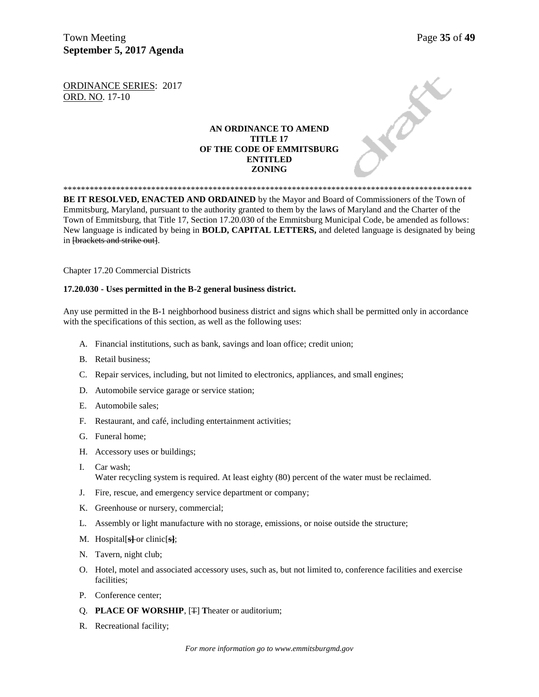Town Meeting Page 35 of 49 **September 5, 2017 Agenda** 

**PARK** 

ORDINANCE SERIES: 2017 ORD. NO. 17-10

## **AN ORDINANCE TO AMEND TITLE 17 OF THE CODE OF EMMITSBURG ENTITLED ZONING**

\*\*\*\*\*\*\*\*\*\*\*\*\*\*\*\*\*\*\*\*\*\*\*\*\*\*\*\*\*\*\*\*\*\*\*\*\*\*\*\*\*\*\*\*\*\*\*\*\*\*\*\*\*\*\*\*\*\*\*\*\*\*\*\*\*\*\*\*\*\*\*\*\*\*\*\*\*\*\*\*\*\*\*\*\*\*\*\*\*\*\*\*\* **BE IT RESOLVED, ENACTED AND ORDAINED** by the Mayor and Board of Commissioners of the Town of Emmitsburg, Maryland, pursuant to the authority granted to them by the laws of Maryland and the Charter of the Town of Emmitsburg, that Title 17, Section 17.20.030 of the Emmitsburg Municipal Code, be amended as follows: New language is indicated by being in **BOLD, CAPITAL LETTERS,** and deleted language is designated by being in [brackets and strike out].

Chapter 17.20 Commercial Districts

#### **17.20.030 - Uses permitted in the B-2 general business district.**

Any use permitted in the B-1 neighborhood business district and signs which shall be permitted only in accordance with the specifications of this section, as well as the following uses:

- A. Financial institutions, such as bank, savings and loan office; credit union;
- B. Retail business;
- C. Repair services, including, but not limited to electronics, appliances, and small engines;
- D. Automobile service garage or service station;
- E. Automobile sales;
- F. Restaurant, and café, including entertainment activities;
- G. Funeral home;
- H. Accessory uses or buildings;
- I. Car wash; Water recycling system is required. At least eighty (80) percent of the water must be reclaimed.
- J. Fire, rescue, and emergency service department or company;
- K. Greenhouse or nursery, commercial;
- L. Assembly or light manufacture with no storage, emissions, or noise outside the structure;
- M. Hospital[**s]** or clinic[**s]**;
- N. Tavern, night club;
- O. Hotel, motel and associated accessory uses, such as, but not limited to, conference facilities and exercise facilities;
- P. Conference center;
- Q. **PLACE OF WORSHIP**, [T] **T**heater or auditorium;
- R. Recreational facility;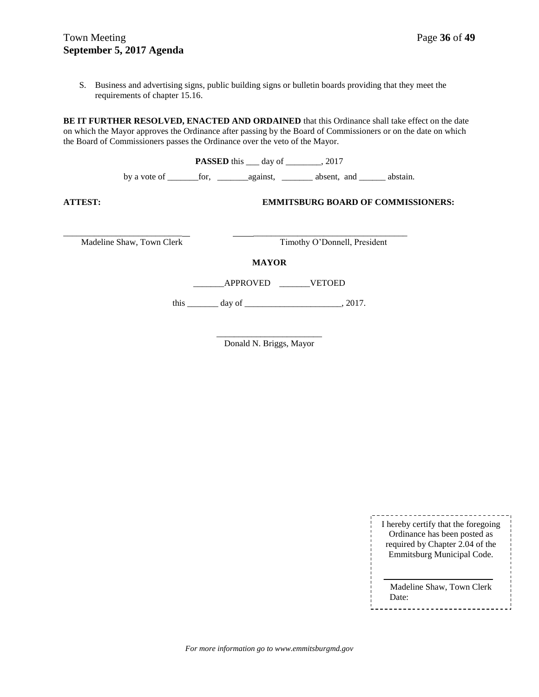# Town Meeting Page 36 of 49 **September 5, 2017 Agenda**

S. Business and advertising signs, public building signs or bulletin boards providing that they meet the requirements of chapter 15.16.

**BE IT FURTHER RESOLVED, ENACTED AND ORDAINED** that this Ordinance shall take effect on the date on which the Mayor approves the Ordinance after passing by the Board of Commissioners or on the date on which the Board of Commissioners passes the Ordinance over the veto of the Mayor.

|                           | <b>PASSED</b> this $\_\_\_$ day of $\_\_\_\_$ , 2017 |                                                   |  |
|---------------------------|------------------------------------------------------|---------------------------------------------------|--|
|                           |                                                      |                                                   |  |
| ATTEST:                   |                                                      | <b>EMMITSBURG BOARD OF COMMISSIONERS:</b>         |  |
| Madeline Shaw, Town Clerk |                                                      | Timothy O'Donnell, President                      |  |
|                           | <b>MAYOR</b>                                         |                                                   |  |
|                           |                                                      | APPROVED VETOED                                   |  |
|                           |                                                      | this $\_\_\_\_$ day of $\_\_\_\_\_\_\_\_$ , 2017. |  |
|                           |                                                      |                                                   |  |

\_\_\_\_\_\_\_\_\_\_\_\_\_\_\_\_\_\_\_\_\_\_\_\_ Donald N. Briggs, Mayor

| I hereby certify that the foregoing<br>Ordinance has been posted as<br>required by Chapter 2.04 of the<br>Emmitsburg Municipal Code. |
|--------------------------------------------------------------------------------------------------------------------------------------|
| Madeline Shaw, Town Clerk<br>Date:                                                                                                   |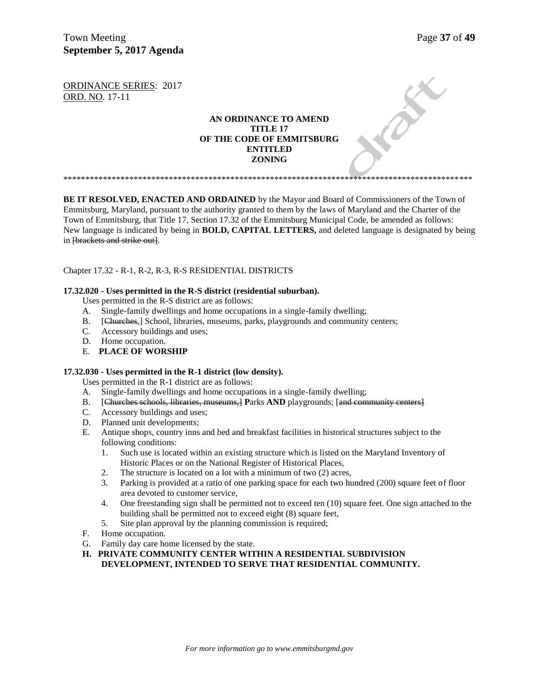Town Meeting **Page 37** of 49 **September 5, 2017 Agenda** 

DEE

ORDINANCE SERIES: 2017 ORD. NO. 17-11

## **AN ORDINANCE TO AMEND TITLE 17 OF THE CODE OF EMMITSBURG ENTITLED ZONING**

\*\*\*\*\*\*\*\*\*\*\*\*\*\*\*\*\*\*\*\*\*\*\*\*\*\*\*\*\*\*\*\*\*\*\*\*\*\*\*\*\*\*\*\*\*\*\*\*\*\*\*\*\*\*\*\*\*\*\*\*\*\*\*\*\*\*\*\*\*\*\*\*\*\*\*\*\*\*\*\*\*\*\*\*\*\*\*\*\*\*\*\*\*

**BE IT RESOLVED, ENACTED AND ORDAINED** by the Mayor and Board of Commissioners of the Town of Emmitsburg, Maryland, pursuant to the authority granted to them by the laws of Maryland and the Charter of the Town of Emmitsburg, that Title 17, Section 17.32 of the Emmitsburg Municipal Code, be amended as follows: New language is indicated by being in **BOLD, CAPITAL LETTERS,** and deleted language is designated by being in [brackets and strike out].

## Chapter 17.32 - R-1, R-2, R-3, R-S RESIDENTIAL DISTRICTS

#### **17.32.020 - Uses permitted in the R-S district (residential suburban).**

- Uses permitted in the R-S district are as follows:
- A. Single-family dwellings and home occupations in a single-family dwelling;
- B. [Churches,] School, libraries, museums, parks, playgrounds and community centers;<br>C. Accessory buildings and uses;
- Accessory buildings and uses;
- D. Home occupation.
- E. **PLACE OF WORSHIP**

#### **17.32.030 - Uses permitted in the R-1 district (low density).**

Uses permitted in the R-1 district are as follows:

- A. Single-family dwellings and home occupations in a single-family dwelling;
- B. [Churches schools, libraries, museums,] Parks AND playgrounds; [and community centers] C. Accessory buildings and uses;
- Accessory buildings and uses;
- D. Planned unit developments;
- E. Antique shops, country inns and bed and breakfast facilities in historical structures subject to the following conditions:
	- 1. Such use is located within an existing structure which is listed on the Maryland Inventory of Historic Places or on the National Register of Historical Places,
	- 2. The structure is located on a lot with a minimum of two (2) acres,
	- 3. Parking is provided at a ratio of one parking space for each two hundred (200) square feet of floor area devoted to customer service,
	- 4. One freestanding sign shall be permitted not to exceed ten (10) square feet. One sign attached to the building shall be permitted not to exceed eight (8) square feet,
	- 5. Site plan approval by the planning commission is required;
- F. Home occupation.
- G. Family day care home licensed by the state.
- **H. PRIVATE COMMUNITY CENTER WITHIN A RESIDENTIAL SUBDIVISION DEVELOPMENT, INTENDED TO SERVE THAT RESIDENTIAL COMMUNITY.**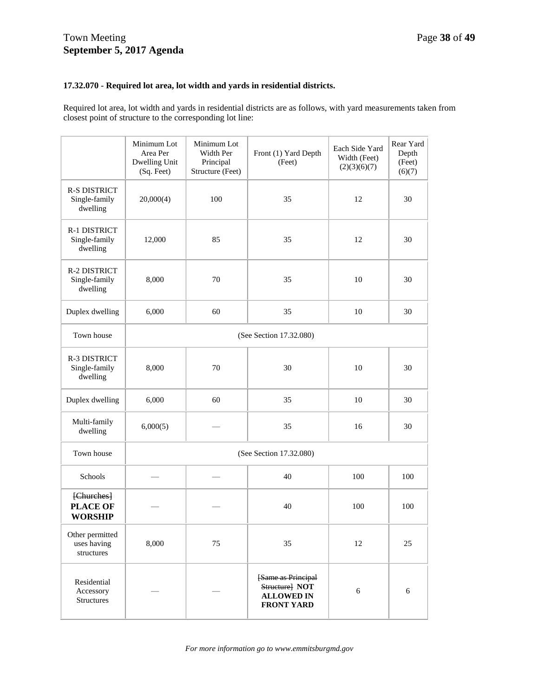## **17.32.070 - Required lot area, lot width and yards in residential districts.**

Required lot area, lot width and yards in residential districts are as follows, with yard measurements taken from closest point of structure to the corresponding lot line:

|                                                  | Minimum Lot<br>Area Per<br>Dwelling Unit<br>(Sq. Feet) | Minimum Lot<br>Width Per<br>Principal<br>Structure (Feet) | Front (1) Yard Depth<br>(Feet)                                                 | Each Side Yard<br>Width (Feet)<br>(2)(3)(6)(7) | Rear Yard<br>Depth<br>(Feet)<br>(6)(7) |
|--------------------------------------------------|--------------------------------------------------------|-----------------------------------------------------------|--------------------------------------------------------------------------------|------------------------------------------------|----------------------------------------|
| <b>R-S DISTRICT</b><br>Single-family<br>dwelling | 20,000(4)                                              | 100                                                       | 35                                                                             | 12                                             | 30                                     |
| R-1 DISTRICT<br>Single-family<br>dwelling        | 12,000                                                 | 85                                                        | 35                                                                             | 12                                             | 30                                     |
| R-2 DISTRICT<br>Single-family<br>dwelling        | 8,000                                                  | 70                                                        | 35                                                                             | 10                                             | 30                                     |
| Duplex dwelling                                  | 6,000                                                  | 60                                                        | 35                                                                             | 10                                             | 30                                     |
| Town house                                       | (See Section 17.32.080)                                |                                                           |                                                                                |                                                |                                        |
| R-3 DISTRICT<br>Single-family<br>dwelling        | 8,000                                                  | 70                                                        | 30                                                                             | 10                                             | 30                                     |
| Duplex dwelling                                  | 6,000                                                  | 60                                                        | 35                                                                             | 10                                             | 30                                     |
| Multi-family<br>dwelling                         | 6,000(5)                                               |                                                           | 35                                                                             | 16                                             | 30                                     |
| Town house                                       | (See Section 17.32.080)                                |                                                           |                                                                                |                                                |                                        |
| Schools                                          |                                                        |                                                           | 40                                                                             | 100                                            | 100                                    |
| [Churches]<br><b>PLACE OF</b><br><b>WORSHIP</b>  |                                                        |                                                           | 40                                                                             | 100                                            | 100                                    |
| Other permitted<br>uses having<br>structures     | 8,000                                                  | 75                                                        | 35                                                                             | 12                                             | 25                                     |
| Residential<br>Accessory<br>Structures           |                                                        |                                                           | [Same as Principal<br>Structure] NOT<br><b>ALLOWED IN</b><br><b>FRONT YARD</b> | 6                                              | 6                                      |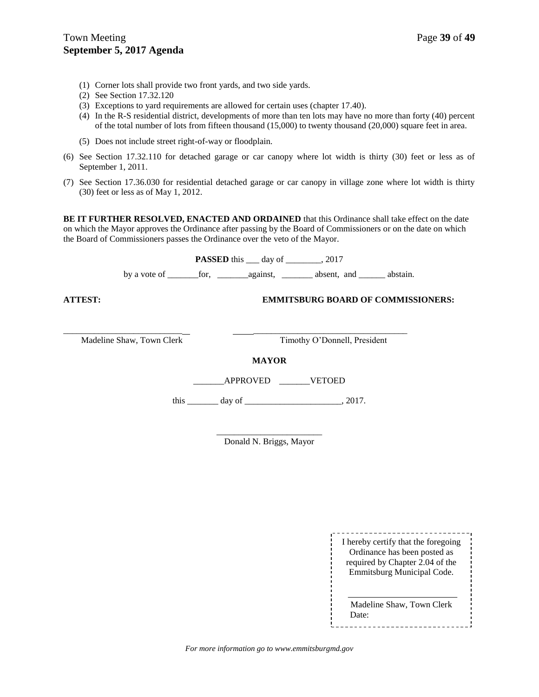- (1) Corner lots shall provide two front yards, and two side yards.
- (2) See Section 17.32.120
- (3) Exceptions to yard requirements are allowed for certain uses (chapter 17.40).
- (4) In the R-S residential district, developments of more than ten lots may have no more than forty (40) percent of the total number of lots from fifteen thousand (15,000) to twenty thousand (20,000) square feet in area.
- (5) Does not include street right-of-way or floodplain.
- (6) See Section 17.32.110 for detached garage or car canopy where lot width is thirty (30) feet or less as of September 1, 2011.
- (7) See Section 17.36.030 for residential detached garage or car canopy in village zone where lot width is thirty (30) feet or less as of May 1, 2012.

**BE IT FURTHER RESOLVED, ENACTED AND ORDAINED** that this Ordinance shall take effect on the date on which the Mayor approves the Ordinance after passing by the Board of Commissioners or on the date on which the Board of Commissioners passes the Ordinance over the veto of the Mayor.

**PASSED** this \_\_\_ day of \_\_\_\_\_\_\_, 2017

by a vote of \_\_\_\_\_\_\_for, \_\_\_\_\_\_\_against, \_\_\_\_\_\_\_ absent, and \_\_\_\_\_\_ abstain.

## **ATTEST: EMMITSBURG BOARD OF COMMISSIONERS:**

Madeline Shaw, Town Clerk Timothy O'Donnell, President

**MAYOR**

\_\_\_\_\_\_\_\_\_\_\_\_\_\_\_\_\_\_\_\_\_\_\_\_\_\_\_ \_\_\_\_\_\_\_\_\_\_\_\_\_\_\_\_\_\_\_\_\_\_\_\_\_\_\_\_\_\_\_\_\_\_\_

\_\_\_\_\_\_\_APPROVED \_\_\_\_\_\_\_VETOED

this \_\_\_\_\_\_\_ day of \_\_\_\_\_\_\_\_\_\_\_\_\_\_\_\_\_\_\_\_\_\_, 2017.

\_\_\_\_\_\_\_\_\_\_\_\_\_\_\_\_\_\_\_\_\_\_\_\_ Donald N. Briggs, Mayor

> ------------------------I hereby certify that the foregoing Ordinance has been posted as required by Chapter 2.04 of the Emmitsburg Municipal Code.

> Madeline Shaw, Town Clerk Date:

*For more information go to www.emmitsburgmd.gov*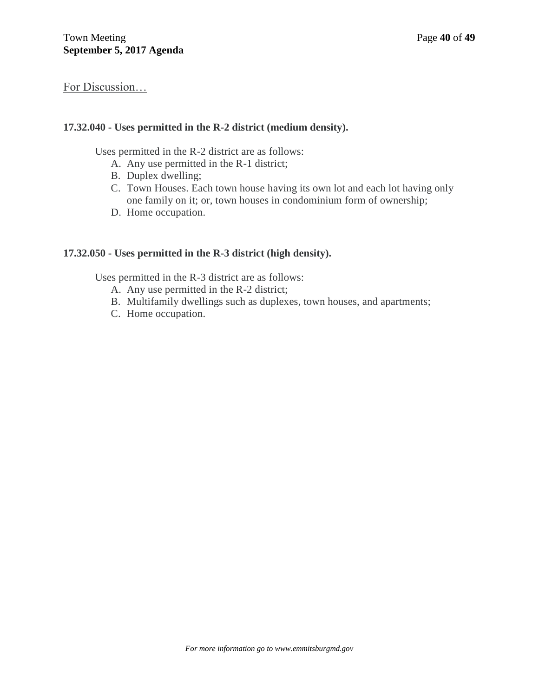# For Discussion…

# **17.32.040 - Uses permitted in the R-2 district (medium density).**

Uses permitted in the R-2 district are as follows:

- A. Any use permitted in the R-1 district;
- B. Duplex dwelling;
- C. Town Houses. Each town house having its own lot and each lot having only one family on it; or, town houses in condominium form of ownership;
- D. Home occupation.

# **17.32.050 - Uses permitted in the R-3 district (high density).**

Uses permitted in the R-3 district are as follows:

- A. Any use permitted in the R-2 district;
- B. Multifamily dwellings such as duplexes, town houses, and apartments;
- C. Home occupation.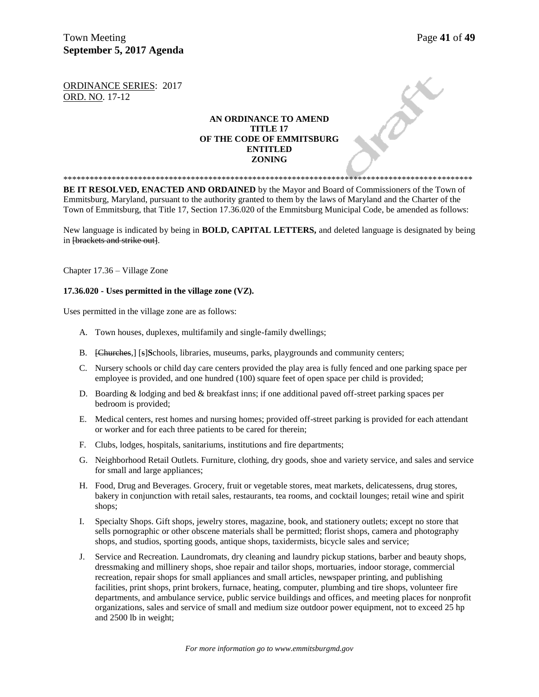Town Meeting **Page 41** of **49 September 5, 2017 Agenda** 

PRICE

ORDINANCE SERIES: 2017 ORD. NO. 17-12

## **AN ORDINANCE TO AMEND TITLE 17 OF THE CODE OF EMMITSBURG ENTITLED ZONING**

**BE IT RESOLVED, ENACTED AND ORDAINED** by the Mayor and Board of Commissioners of the Town of Emmitsburg, Maryland, pursuant to the authority granted to them by the laws of Maryland and the Charter of the Town of Emmitsburg, that Title 17, Section 17.36.020 of the Emmitsburg Municipal Code, be amended as follows:

\*\*\*\*\*\*\*\*\*\*\*\*\*\*\*\*\*\*\*\*\*\*\*\*\*\*\*\*\*\*\*\*\*\*\*\*\*\*\*\*\*\*\*\*\*\*\*\*\*\*\*\*\*\*\*\*\*\*\*\*\*\*\*\*\*\*\*\*\*\*\*\*\*\*\*\*\*\*\*\*\*\*\*\*\*\*\*\*\*\*\*\*\*

New language is indicated by being in **BOLD, CAPITAL LETTERS,** and deleted language is designated by being in [brackets and strike out].

Chapter 17.36 – Village Zone

#### **17.36.020 - Uses permitted in the village zone (VZ).**

Uses permitted in the village zone are as follows:

- A. Town houses, duplexes, multifamily and single-family dwellings;
- B. [Churches,] [s]**S**chools, libraries, museums, parks, playgrounds and community centers;
- C. Nursery schools or child day care centers provided the play area is fully fenced and one parking space per employee is provided, and one hundred (100) square feet of open space per child is provided;
- D. Boarding & lodging and bed & breakfast inns; if one additional paved off-street parking spaces per bedroom is provided;
- E. Medical centers, rest homes and nursing homes; provided off-street parking is provided for each attendant or worker and for each three patients to be cared for therein;
- F. Clubs, lodges, hospitals, sanitariums, institutions and fire departments;
- G. Neighborhood Retail Outlets. Furniture, clothing, dry goods, shoe and variety service, and sales and service for small and large appliances;
- H. Food, Drug and Beverages. Grocery, fruit or vegetable stores, meat markets, delicatessens, drug stores, bakery in conjunction with retail sales, restaurants, tea rooms, and cocktail lounges; retail wine and spirit shops;
- I. Specialty Shops. Gift shops, jewelry stores, magazine, book, and stationery outlets; except no store that sells pornographic or other obscene materials shall be permitted; florist shops, camera and photography shops, and studios, sporting goods, antique shops, taxidermists, bicycle sales and service;
- J. Service and Recreation. Laundromats, dry cleaning and laundry pickup stations, barber and beauty shops, dressmaking and millinery shops, shoe repair and tailor shops, mortuaries, indoor storage, commercial recreation, repair shops for small appliances and small articles, newspaper printing, and publishing facilities, print shops, print brokers, furnace, heating, computer, plumbing and tire shops, volunteer fire departments, and ambulance service, public service buildings and offices, and meeting places for nonprofit organizations, sales and service of small and medium size outdoor power equipment, not to exceed 25 hp and 2500 lb in weight;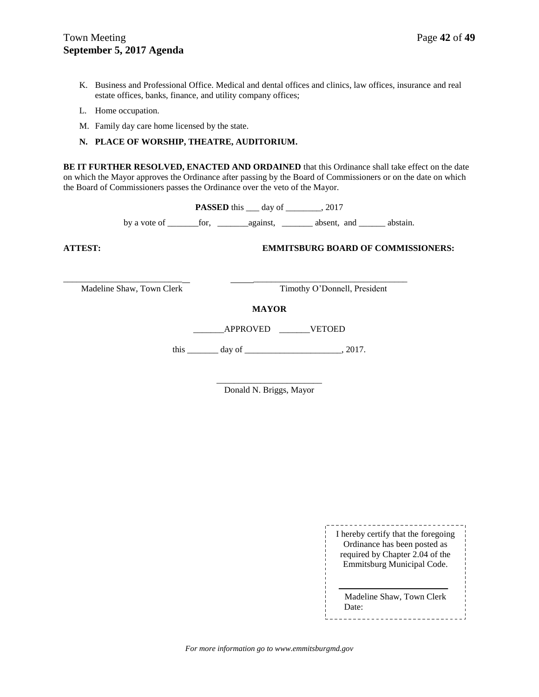- K. Business and Professional Office. Medical and dental offices and clinics, law offices, insurance and real estate offices, banks, finance, and utility company offices;
- L. Home occupation.
- M. Family day care home licensed by the state.

#### **N. PLACE OF WORSHIP, THEATRE, AUDITORIUM.**

**BE IT FURTHER RESOLVED, ENACTED AND ORDAINED** that this Ordinance shall take effect on the date on which the Mayor approves the Ordinance after passing by the Board of Commissioners or on the date on which the Board of Commissioners passes the Ordinance over the veto of the Mayor.

**PASSED** this \_\_\_ day of \_\_\_\_\_\_\_, 2017

by a vote of \_\_\_\_\_\_\_for, \_\_\_\_\_\_\_against, \_\_\_\_\_\_\_ absent, and \_\_\_\_\_\_ abstain.

**ATTEST: EMMITSBURG BOARD OF COMMISSIONERS:**

\_\_\_\_\_\_\_\_\_\_\_\_\_\_\_\_\_\_\_\_\_\_\_\_\_\_\_ \_\_\_\_\_\_\_\_\_\_\_\_\_\_\_\_\_\_\_\_\_\_\_\_\_\_\_\_\_\_\_\_\_\_\_

Madeline Shaw, Town Clerk Timothy O'Donnell, President

#### **MAYOR**

\_\_\_\_\_\_\_APPROVED \_\_\_\_\_\_\_VETOED

this  $\frac{day \text{ of } (x,y) - (x,y) \text{ of } (x,y) - (y,y) \text{ of } (x,y) \text{ of } (x,y) \text{ of } (x,y) \text{ of } (x,y)$ 

\_\_\_\_\_\_\_\_\_\_\_\_\_\_\_\_\_\_\_\_\_\_\_\_ Donald N. Briggs, Mayor

| I hereby certify that the foregoing |
|-------------------------------------|
| Ordinance has been posted as        |
| required by Chapter 2.04 of the     |
| Emmitsburg Municipal Code.          |
|                                     |
|                                     |

Madeline Shaw, Town Clerk Date: ------------------------------

*For more information go to www.emmitsburgmd.gov*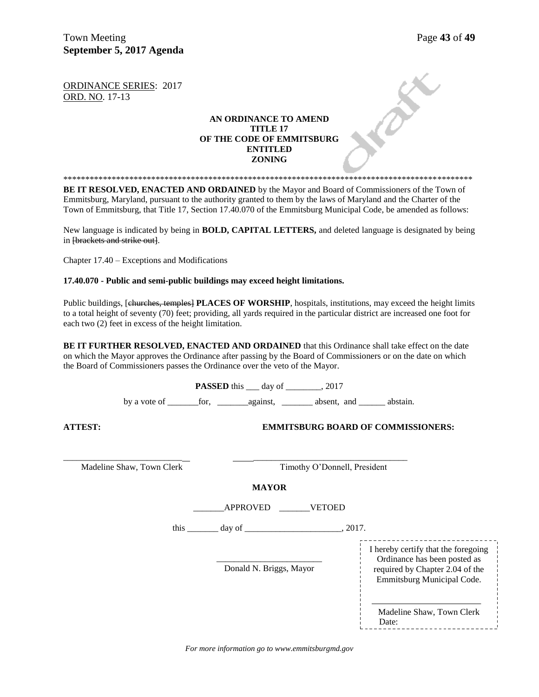Town Meeting Page 43 of 49 **September 5, 2017 Agenda** 

ORDINANCE SERIES: 2017 ORD. NO. 17-13

## **AN ORDINANCE TO AMEND TITLE 17 OF THE CODE OF EMMITSBURG ENTITLED ZONING**

\*\*\*\*\*\*\*\*\*\*\*\*\*\*\*\*\*\*\*\*\*\*\*\*\*\*\*\*\*\*\*\*\*\*\*\*\*\*\*\*\*\*\*\*\*\*\*\*\*\*\*\*\*\*\*\*\*\*\*\*\*\*\*\*\*\*\*\*\*\*\*\*\*\*\*\*\*\*\*\*\*\*\*\*\*\*\*\*\*\*\*\*\* **BE IT RESOLVED, ENACTED AND ORDAINED** by the Mayor and Board of Commissioners of the Town of Emmitsburg, Maryland, pursuant to the authority granted to them by the laws of Maryland and the Charter of the Town of Emmitsburg, that Title 17, Section 17.40.070 of the Emmitsburg Municipal Code, be amended as follows:

New language is indicated by being in **BOLD, CAPITAL LETTERS,** and deleted language is designated by being in [brackets and strike out].

Chapter 17.40 – Exceptions and Modifications

**17.40.070 - Public and semi-public buildings may exceed height limitations.**

Public buildings, [churches, temples] PLACES OF WORSHIP, hospitals, institutions, may exceed the height limits to a total height of seventy (70) feet; providing, all yards required in the particular district are increased one foot for each two (2) feet in excess of the height limitation.

**BE IT FURTHER RESOLVED, ENACTED AND ORDAINED** that this Ordinance shall take effect on the date on which the Mayor approves the Ordinance after passing by the Board of Commissioners or on the date on which the Board of Commissioners passes the Ordinance over the veto of the Mayor.

|                |                           | <b>PASSED</b> this ____ day of ________, 2017 |                         |                                                 |                                                                                                                                      |                 |
|----------------|---------------------------|-----------------------------------------------|-------------------------|-------------------------------------------------|--------------------------------------------------------------------------------------------------------------------------------------|-----------------|
|                |                           |                                               |                         |                                                 |                                                                                                                                      |                 |
| <b>ATTEST:</b> |                           |                                               |                         |                                                 | <b>EMMITSBURG BOARD OF COMMISSIONERS:</b>                                                                                            |                 |
|                | Madeline Shaw, Town Clerk |                                               |                         | Timothy O'Donnell, President                    |                                                                                                                                      |                 |
|                |                           |                                               | <b>MAYOR</b>            |                                                 |                                                                                                                                      |                 |
|                |                           |                                               | APPROVED VETOED         |                                                 |                                                                                                                                      |                 |
|                |                           |                                               |                         | this $\_\_\_\_$ day of $\_\_\_\_\_\_\_$ , 2017. |                                                                                                                                      |                 |
|                |                           |                                               | Donald N. Briggs, Mayor |                                                 | I hereby certify that the foregoing<br>Ordinance has been posted as<br>required by Chapter 2.04 of the<br>Emmitsburg Municipal Code. |                 |
|                |                           |                                               |                         |                                                 | Madeline Shaw, Town Clerk<br>Date:                                                                                                   | --------------- |

*For more information go to www.emmitsburgmd.gov*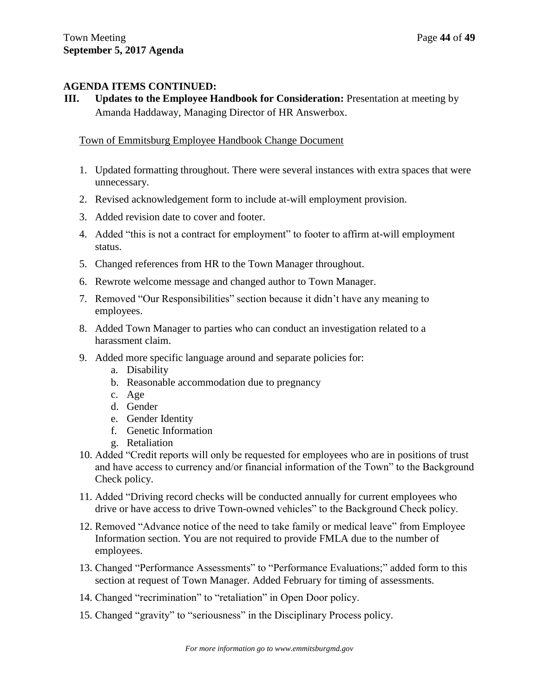# **AGENDA ITEMS CONTINUED:**

**III. Updates to the Employee Handbook for Consideration:** Presentation at meeting by Amanda Haddaway, Managing Director of HR Answerbox.

# Town of Emmitsburg Employee Handbook Change Document

- 1. Updated formatting throughout. There were several instances with extra spaces that were unnecessary.
- 2. Revised acknowledgement form to include at-will employment provision.
- 3. Added revision date to cover and footer.
- 4. Added "this is not a contract for employment" to footer to affirm at-will employment status.
- 5. Changed references from HR to the Town Manager throughout.
- 6. Rewrote welcome message and changed author to Town Manager.
- 7. Removed "Our Responsibilities" section because it didn't have any meaning to employees.
- 8. Added Town Manager to parties who can conduct an investigation related to a harassment claim.
- 9. Added more specific language around and separate policies for:
	- a. Disability
	- b. Reasonable accommodation due to pregnancy
	- c. Age
	- d. Gender
	- e. Gender Identity
	- f. Genetic Information
	- g. Retaliation
- 10. Added "Credit reports will only be requested for employees who are in positions of trust and have access to currency and/or financial information of the Town" to the Background Check policy.
- 11. Added "Driving record checks will be conducted annually for current employees who drive or have access to drive Town-owned vehicles" to the Background Check policy.
- 12. Removed "Advance notice of the need to take family or medical leave" from Employee Information section. You are not required to provide FMLA due to the number of employees.
- 13. Changed "Performance Assessments" to "Performance Evaluations;" added form to this section at request of Town Manager. Added February for timing of assessments.
- 14. Changed "recrimination" to "retaliation" in Open Door policy.
- 15. Changed "gravity" to "seriousness" in the Disciplinary Process policy.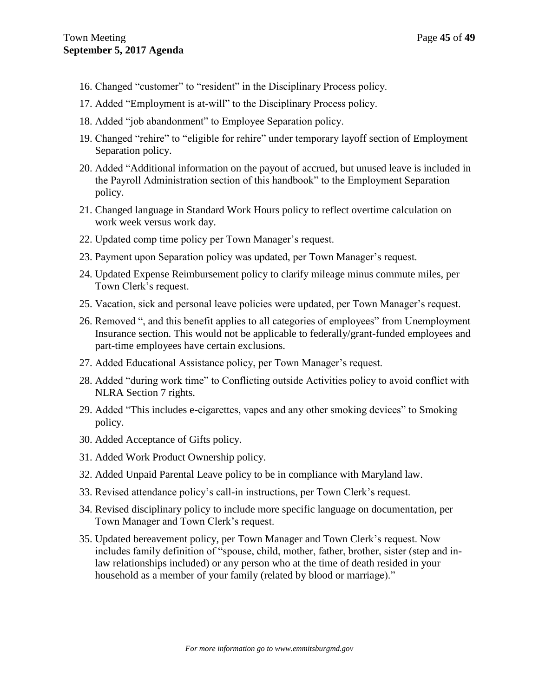- 16. Changed "customer" to "resident" in the Disciplinary Process policy.
- 17. Added "Employment is at-will" to the Disciplinary Process policy.
- 18. Added "job abandonment" to Employee Separation policy.
- 19. Changed "rehire" to "eligible for rehire" under temporary layoff section of Employment Separation policy.
- 20. Added "Additional information on the payout of accrued, but unused leave is included in the Payroll Administration section of this handbook" to the Employment Separation policy.
- 21. Changed language in Standard Work Hours policy to reflect overtime calculation on work week versus work day.
- 22. Updated comp time policy per Town Manager's request.
- 23. Payment upon Separation policy was updated, per Town Manager's request.
- 24. Updated Expense Reimbursement policy to clarify mileage minus commute miles, per Town Clerk's request.
- 25. Vacation, sick and personal leave policies were updated, per Town Manager's request.
- 26. Removed ", and this benefit applies to all categories of employees" from Unemployment Insurance section. This would not be applicable to federally/grant-funded employees and part-time employees have certain exclusions.
- 27. Added Educational Assistance policy, per Town Manager's request.
- 28. Added "during work time" to Conflicting outside Activities policy to avoid conflict with NLRA Section 7 rights.
- 29. Added "This includes e-cigarettes, vapes and any other smoking devices" to Smoking policy.
- 30. Added Acceptance of Gifts policy.
- 31. Added Work Product Ownership policy.
- 32. Added Unpaid Parental Leave policy to be in compliance with Maryland law.
- 33. Revised attendance policy's call-in instructions, per Town Clerk's request.
- 34. Revised disciplinary policy to include more specific language on documentation, per Town Manager and Town Clerk's request.
- 35. Updated bereavement policy, per Town Manager and Town Clerk's request. Now includes family definition of "spouse, child, mother, father, brother, sister (step and inlaw relationships included) or any person who at the time of death resided in your household as a member of your family (related by blood or marriage)."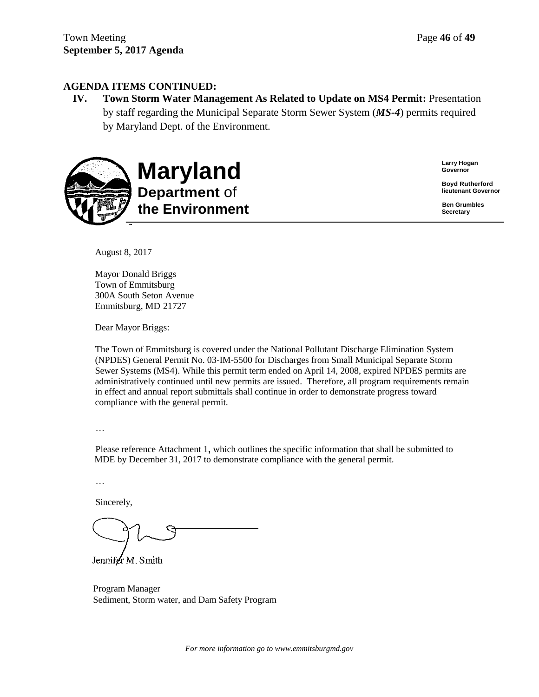# **AGENDA ITEMS CONTINUED:**

**IV. Town Storm Water Management As Related to Update on MS4 Permit:** Presentation by staff regarding the Municipal Separate Storm Sewer System (*MS-4*) permits required by Maryland Dept. of the Environment.



**Larry Hogan Governor**

**Boyd Rutherford lieutenant Governor**

**Ben Grumbles Secretary**

August 8, 2017

Mayor Donald Briggs Town of Emmitsburg 300A South Seton Avenue Emmitsburg, MD 21727

Dear Mayor Briggs:

The Town of Emmitsburg is covered under the National Pollutant Discharge Elimination System (NPDES) General Permit No. 03-IM-5500 for Discharges from Small Municipal Separate Storm Sewer Systems (MS4). While this permit term ended on April 14, 2008, expired NPDES permits are administratively continued until new permits are issued. Therefore, all program requirements remain in effect and annual report submittals shall continue in order to demonstrate progress toward compliance with the general permit.

…

Please reference Attachment 1**,** which outlines the specific information that shall be submitted to MDE by December 31, 2017 to demonstrate compliance with the general permit.

…

Sincerely,

Jennifer M. Smith

Program Manager Sediment, Storm water, and Dam Safety Program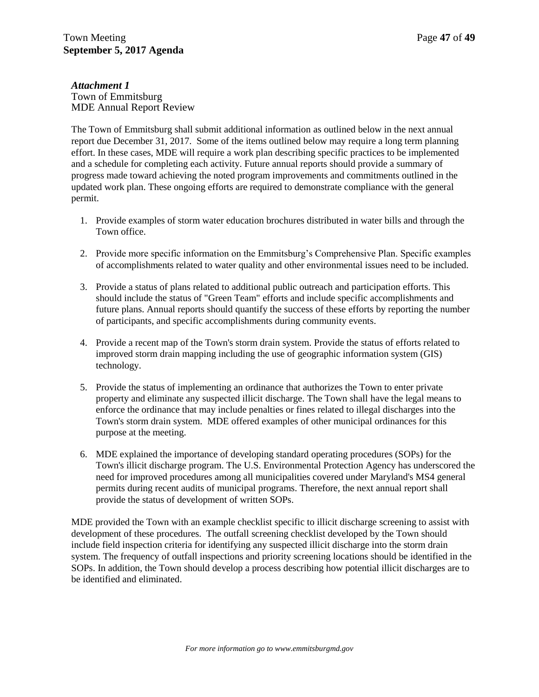*Attachment 1* Town of Emmitsburg MDE Annual Report Review

The Town of Emmitsburg shall submit additional information as outlined below in the next annual report due December 31, 2017. Some of the items outlined below may require a long term planning effort. In these cases, MDE will require a work plan describing specific practices to be implemented and a schedule for completing each activity. Future annual reports should provide a summary of progress made toward achieving the noted program improvements and commitments outlined in the updated work plan. These ongoing efforts are required to demonstrate compliance with the general permit.

- 1. Provide examples of storm water education brochures distributed in water bills and through the Town office.
- 2. Provide more specific information on the Emmitsburg's Comprehensive Plan. Specific examples of accomplishments related to water quality and other environmental issues need to be included.
- 3. Provide a status of plans related to additional public outreach and participation efforts. This should include the status of "Green Team" efforts and include specific accomplishments and future plans. Annual reports should quantify the success of these efforts by reporting the number of participants, and specific accomplishments during community events.
- 4. Provide a recent map of the Town's storm drain system. Provide the status of efforts related to improved storm drain mapping including the use of geographic information system (GIS) technology.
- 5. Provide the status of implementing an ordinance that authorizes the Town to enter private property and eliminate any suspected illicit discharge. The Town shall have the legal means to enforce the ordinance that may include penalties or fines related to illegal discharges into the Town's storm drain system. MDE offered examples of other municipal ordinances for this purpose at the meeting.
- 6. MDE explained the importance of developing standard operating procedures (SOPs) for the Town's illicit discharge program. The U.S. Environmental Protection Agency has underscored the need for improved procedures among all municipalities covered under Maryland's MS4 general permits during recent audits of municipal programs. Therefore, the next annual report shall provide the status of development of written SOPs.

MDE provided the Town with an example checklist specific to illicit discharge screening to assist with development of these procedures. The outfall screening checklist developed by the Town should include field inspection criteria for identifying any suspected illicit discharge into the storm drain system. The frequency of outfall inspections and priority screening locations should be identified in the SOPs. In addition, the Town should develop a process describing how potential illicit discharges are to be identified and eliminated.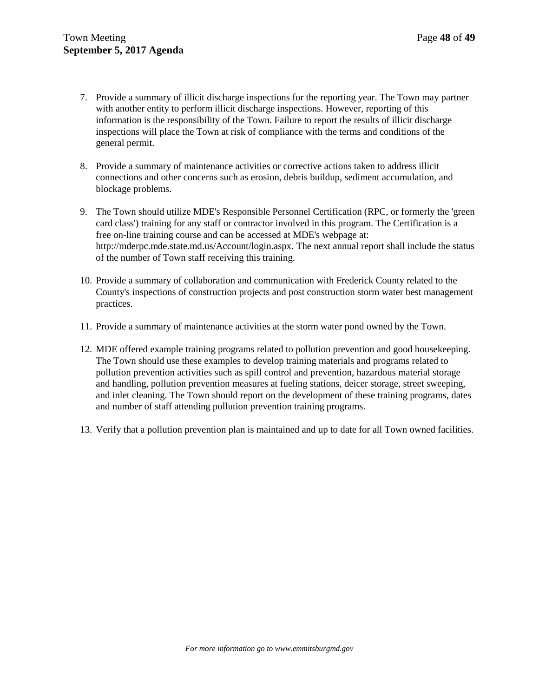- 7. Provide a summary of illicit discharge inspections for the reporting year. The Town may partner with another entity to perform illicit discharge inspections. However, reporting of this information is the responsibility of the Town. Failure to report the results of illicit discharge inspections will place the Town at risk of compliance with the terms and conditions of the general permit.
- 8. Provide a summary of maintenance activities or corrective actions taken to address illicit connections and other concerns such as erosion, debris buildup, sediment accumulation, and blockage problems.
- 9. The Town should utilize MDE's Responsible Personnel Certification (RPC, or formerly the 'green card class') training for any staff or contractor involved in this program. The Certification is a free on-line training course and can be accessed at MDE's webpage at: [http://mderpc.mde.state.md.us/Account/login.aspx.](http://mderpc.mde.state.md.us/Account/login.aspx) The next annual report shall include the status of the number of Town staff receiving this training.
- 10. Provide a summary of collaboration and communication with Frederick County related to the County's inspections of construction projects and post construction storm water best management practices.
- 11. Provide a summary of maintenance activities at the storm water pond owned by the Town.
- 12. MDE offered example training programs related to pollution prevention and good housekeeping. The Town should use these examples to develop training materials and programs related to pollution prevention activities such as spill control and prevention, hazardous material storage and handling, pollution prevention measures at fueling stations, deicer storage, street sweeping, and inlet cleaning. The Town should report on the development of these training programs, dates and number of staff attending pollution prevention training programs.
- 13. Verify that a pollution prevention plan is maintained and up to date for all Town owned facilities.